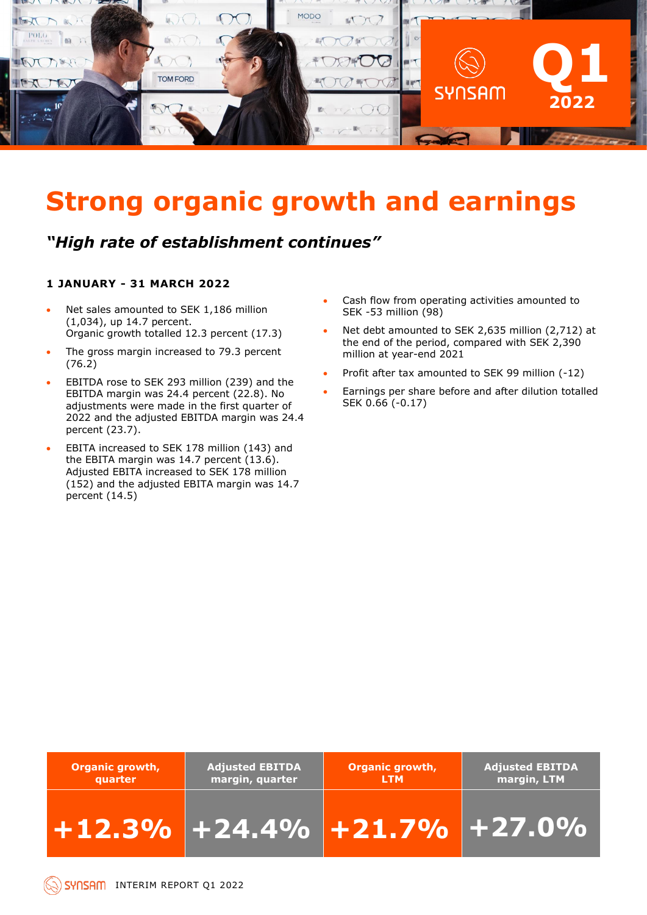

## **Strong organic growth and earnings**

### *"High rate of establishment continues"*

### **1 JANUARY - 31 MARCH 2022**

- Net sales amounted to SEK 1,186 million (1,034), up 14.7 percent. Organic growth totalled 12.3 percent (17.3)
- The gross margin increased to 79.3 percent (76.2)
- EBITDA rose to SEK 293 million (239) and the EBITDA margin was 24.4 percent (22.8). No adjustments were made in the first quarter of 2022 and the adjusted EBITDA margin was 24.4 percent (23.7).
- EBITA increased to SEK 178 million (143) and the EBITA margin was 14.7 percent (13.6). Adjusted EBITA increased to SEK 178 million (152) and the adjusted EBITA margin was 14.7 percent (14.5)
- Cash flow from operating activities amounted to SEK -53 million (98)
- Net debt amounted to SEK 2,635 million (2,712) at the end of the period, compared with SEK 2,390 million at year-end 2021
- Profit after tax amounted to SEK 99 million (-12)
- Earnings per share before and after dilution totalled SEK 0.66 (-0.17)

| <b>Organic growth,</b> | <b>Adjusted EBITDA</b>         | <b>Organic growth,</b> | <b>Adjusted EBITDA</b> |
|------------------------|--------------------------------|------------------------|------------------------|
| quarter                | margin, quarter                | <b>LTM</b>             | margin, LTM            |
|                        | $+12.3\%$ +24.4% +21.7% +27.0% |                        |                        |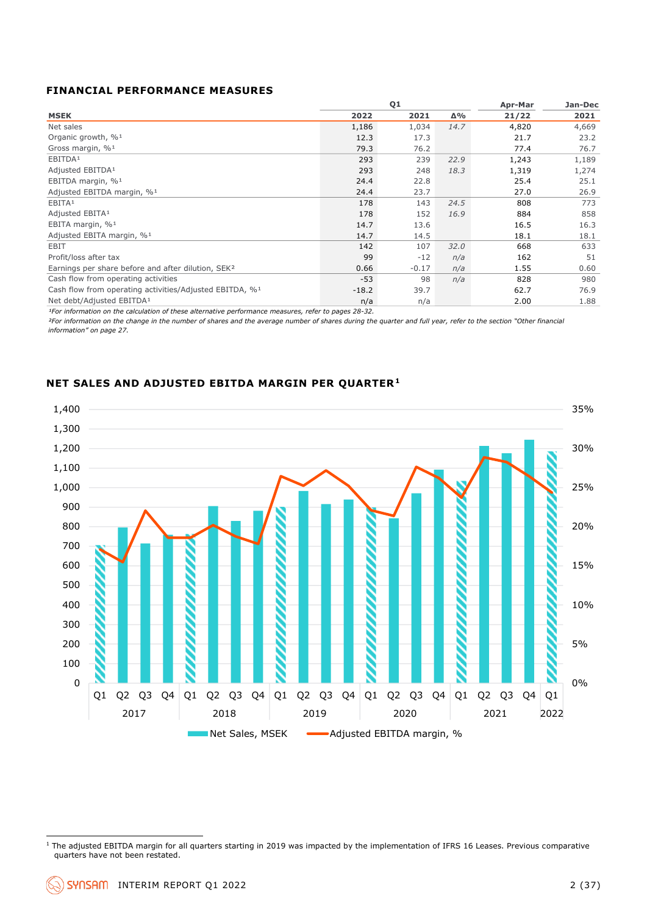### **FINANCIAL PERFORMANCE MEASURES**

|                                                                     |         | Q1      |      | Apr-Mar | Jan-Dec |
|---------------------------------------------------------------------|---------|---------|------|---------|---------|
| <b>MSEK</b>                                                         | 2022    | 2021    | Δ%   | 21/22   | 2021    |
| Net sales                                                           | 1,186   | 1,034   | 14.7 | 4,820   | 4,669   |
| Organic growth, % <sup>1</sup>                                      | 12.3    | 17.3    |      | 21.7    | 23.2    |
| Gross margin, $\%$ <sup>1</sup>                                     | 79.3    | 76.2    |      | 77.4    | 76.7    |
| EBITDA <sup>1</sup>                                                 | 293     | 239     | 22.9 | 1,243   | 1,189   |
| Adjusted EBITDA <sup>1</sup>                                        | 293     | 248     | 18.3 | 1,319   | 1,274   |
| EBITDA margin, % <sup>1</sup>                                       | 24.4    | 22.8    |      | 25.4    | 25.1    |
| Adjusted EBITDA margin, % <sup>1</sup>                              | 24.4    | 23.7    |      | 27.0    | 26.9    |
| EBITA <sup>1</sup>                                                  | 178     | 143     | 24.5 | 808     | 773     |
| Adjusted EBITA <sup>1</sup>                                         | 178     | 152     | 16.9 | 884     | 858     |
| EBITA margin, % <sup>1</sup>                                        | 14.7    | 13.6    |      | 16.5    | 16.3    |
| Adjusted EBITA margin, % <sup>1</sup>                               | 14.7    | 14.5    |      | 18.1    | 18.1    |
| EBIT                                                                | 142     | 107     | 32.0 | 668     | 633     |
| Profit/loss after tax                                               | 99      | $-12$   | n/a  | 162     | 51      |
| Earnings per share before and after dilution, SEK <sup>2</sup>      | 0.66    | $-0.17$ | n/a  | 1.55    | 0.60    |
| Cash flow from operating activities                                 | $-53$   | 98      | n/a  | 828     | 980     |
| Cash flow from operating activities/Adjusted EBITDA, % <sup>1</sup> | $-18.2$ | 39.7    |      | 62.7    | 76.9    |
| Net debt/Adjusted EBITDA <sup>1</sup>                               | n/a     | n/a     |      | 2.00    | 1.88    |

*¹For information on the calculation of these alternative performance measures, refer to pages 28-32.*

*²For information on the change in the number of shares and the average number of shares during the quarter and full year, refer to the section "Other financial information" on page 27.*

### **NET SALES AND ADJUSTED EBITDA MARGIN PER QUARTER<sup>1</sup>**



 $1$  The adjusted EBITDA margin for all quarters starting in 2019 was impacted by the implementation of IFRS 16 Leases. Previous comparative quarters have not been restated.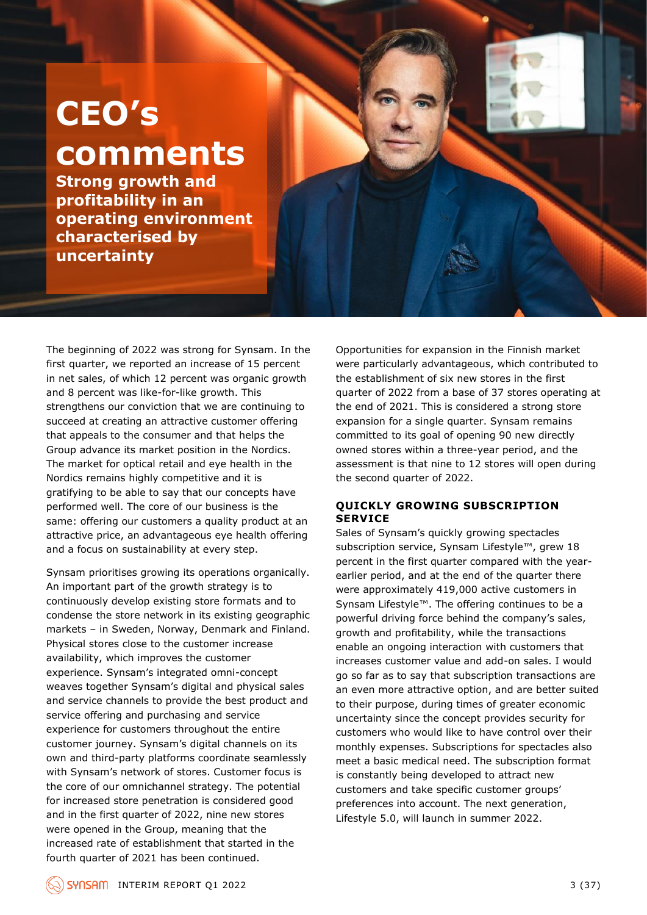## **CEO's comments**

**Strong growth and profitability in an operating environment characterised by uncertainty**

The beginning of 2022 was strong for Synsam. In the first quarter, we reported an increase of 15 percent in net sales, of which 12 percent was organic growth and 8 percent was like-for-like growth. This strengthens our conviction that we are continuing to succeed at creating an attractive customer offering that appeals to the consumer and that helps the Group advance its market position in the Nordics. The market for optical retail and eye health in the Nordics remains highly competitive and it is gratifying to be able to say that our concepts have performed well. The core of our business is the same: offering our customers a quality product at an attractive price, an advantageous eye health offering and a focus on sustainability at every step.

Synsam prioritises growing its operations organically. An important part of the growth strategy is to continuously develop existing store formats and to condense the store network in its existing geographic markets – in Sweden, Norway, Denmark and Finland. Physical stores close to the customer increase availability, which improves the customer experience. Synsam's integrated omni-concept weaves together Synsam's digital and physical sales and service channels to provide the best product and service offering and purchasing and service experience for customers throughout the entire customer journey. Synsam's digital channels on its own and third-party platforms coordinate seamlessly with Synsam's network of stores. Customer focus is the core of our omnichannel strategy. The potential for increased store penetration is considered good and in the first quarter of 2022, nine new stores were opened in the Group, meaning that the increased rate of establishment that started in the fourth quarter of 2021 has been continued.

Opportunities for expansion in the Finnish market were particularly advantageous, which contributed to the establishment of six new stores in the first quarter of 2022 from a base of 37 stores operating at the end of 2021. This is considered a strong store expansion for a single quarter. Synsam remains committed to its goal of opening 90 new directly owned stores within a three-year period, and the assessment is that nine to 12 stores will open during the second quarter of 2022.

### **QUICKLY GROWING SUBSCRIPTION SERVICE**

Sales of Synsam's quickly growing spectacles subscription service, Synsam Lifestyle™, grew 18 percent in the first quarter compared with the yearearlier period, and at the end of the quarter there were approximately 419,000 active customers in Synsam Lifestyle™. The offering continues to be a powerful driving force behind the company's sales, growth and profitability, while the transactions enable an ongoing interaction with customers that increases customer value and add-on sales. I would go so far as to say that subscription transactions are an even more attractive option, and are better suited to their purpose, during times of greater economic uncertainty since the concept provides security for customers who would like to have control over their monthly expenses. Subscriptions for spectacles also meet a basic medical need. The subscription format is constantly being developed to attract new customers and take specific customer groups' preferences into account. The next generation, Lifestyle 5.0, will launch in summer 2022.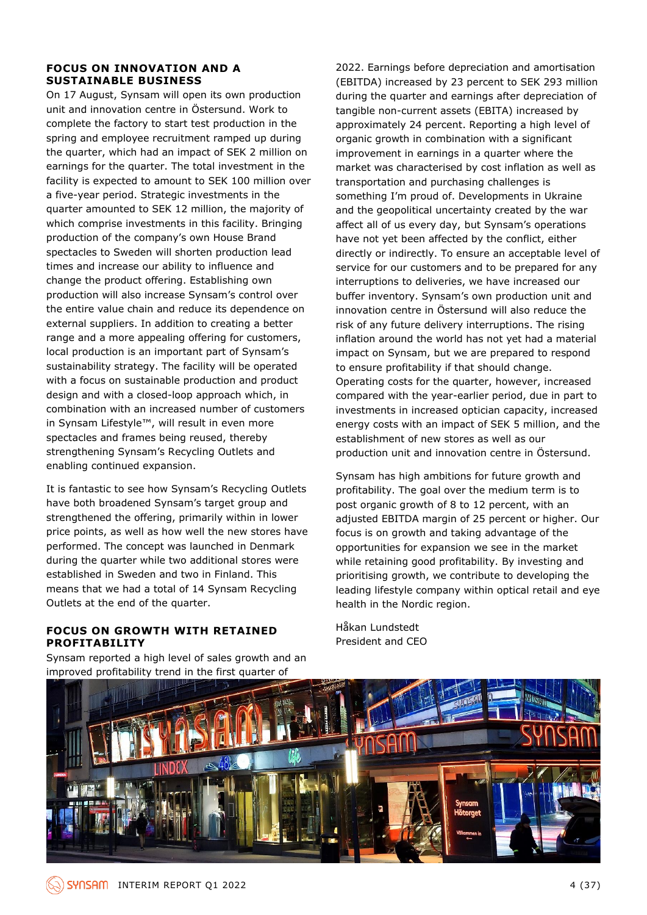### **FOCUS ON INNOVATION AND A SUSTAINABLE BUSINESS**

On 17 August, Synsam will open its own production unit and innovation centre in Östersund. Work to complete the factory to start test production in the spring and employee recruitment ramped up during the quarter, which had an impact of SEK 2 million on earnings for the quarter. The total investment in the facility is expected to amount to SEK 100 million over a five-year period. Strategic investments in the quarter amounted to SEK 12 million, the majority of which comprise investments in this facility. Bringing production of the company's own House Brand spectacles to Sweden will shorten production lead times and increase our ability to influence and change the product offering. Establishing own production will also increase Synsam's control over the entire value chain and reduce its dependence on external suppliers. In addition to creating a better range and a more appealing offering for customers, local production is an important part of Synsam's sustainability strategy. The facility will be operated with a focus on sustainable production and product design and with a closed-loop approach which, in combination with an increased number of customers in Synsam Lifestyle™, will result in even more spectacles and frames being reused, thereby strengthening Synsam's Recycling Outlets and enabling continued expansion.

It is fantastic to see how Synsam's Recycling Outlets have both broadened Synsam's target group and strengthened the offering, primarily within in lower price points, as well as how well the new stores have performed. The concept was launched in Denmark during the quarter while two additional stores were established in Sweden and two in Finland. This means that we had a total of 14 Synsam Recycling Outlets at the end of the quarter.

### **FOCUS ON GROWTH WITH RETAINED PROFITABILITY**

Synsam reported a high level of sales growth and an improved profitability trend in the first quarter of

2022. Earnings before depreciation and amortisation (EBITDA) increased by 23 percent to SEK 293 million during the quarter and earnings after depreciation of tangible non-current assets (EBITA) increased by approximately 24 percent. Reporting a high level of organic growth in combination with a significant improvement in earnings in a quarter where the market was characterised by cost inflation as well as transportation and purchasing challenges is something I'm proud of. Developments in Ukraine and the geopolitical uncertainty created by the war affect all of us every day, but Synsam's operations have not yet been affected by the conflict, either directly or indirectly. To ensure an acceptable level of service for our customers and to be prepared for any interruptions to deliveries, we have increased our buffer inventory. Synsam's own production unit and innovation centre in Östersund will also reduce the risk of any future delivery interruptions. The rising inflation around the world has not yet had a material impact on Synsam, but we are prepared to respond to ensure profitability if that should change. Operating costs for the quarter, however, increased compared with the year-earlier period, due in part to investments in increased optician capacity, increased energy costs with an impact of SEK 5 million, and the establishment of new stores as well as our production unit and innovation centre in Östersund.

Synsam has high ambitions for future growth and profitability. The goal over the medium term is to post organic growth of 8 to 12 percent, with an adjusted EBITDA margin of 25 percent or higher. Our focus is on growth and taking advantage of the opportunities for expansion we see in the market while retaining good profitability. By investing and prioritising growth, we contribute to developing the leading lifestyle company within optical retail and eye health in the Nordic region.

Håkan Lundstedt President and CEO

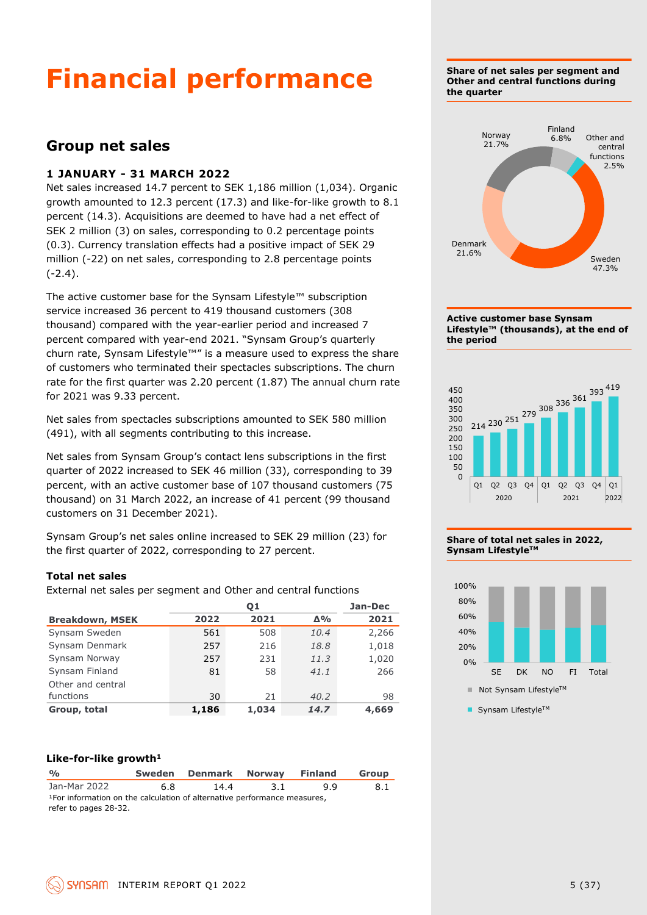## **Financial performance**

### **Group net sales**

### **1 JANUARY - 31 MARCH 2022**

Net sales increased 14.7 percent to SEK 1,186 million (1,034). Organic growth amounted to 12.3 percent (17.3) and like-for-like growth to 8.1 percent (14.3). Acquisitions are deemed to have had a net effect of SEK 2 million (3) on sales, corresponding to 0.2 percentage points (0.3). Currency translation effects had a positive impact of SEK 29 million (-22) on net sales, corresponding to 2.8 percentage points  $(-2.4)$ .

The active customer base for the Synsam Lifestyle™ subscription service increased 36 percent to 419 thousand customers (308 thousand) compared with the year-earlier period and increased 7 percent compared with year-end 2021. "Synsam Group's quarterly churn rate, Synsam Lifestyle™" is a measure used to express the share of customers who terminated their spectacles subscriptions. The churn rate for the first quarter was 2.20 percent (1.87) The annual churn rate for 2021 was 9.33 percent.

Net sales from spectacles subscriptions amounted to SEK 580 million (491), with all segments contributing to this increase.

Net sales from Synsam Group's contact lens subscriptions in the first quarter of 2022 increased to SEK 46 million (33), corresponding to 39 percent, with an active customer base of 107 thousand customers (75 thousand) on 31 March 2022, an increase of 41 percent (99 thousand customers on 31 December 2021).

Synsam Group's net sales online increased to SEK 29 million (23) for the first quarter of 2022, corresponding to 27 percent.

### **Total net sales**

External net sales per segment and Other and central functions

|                        |       | Jan-Dec |            |       |
|------------------------|-------|---------|------------|-------|
| <b>Breakdown, MSEK</b> | 2022  | 2021    | $\Delta\%$ | 2021  |
| Synsam Sweden          | 561   | 508     | 10.4       | 2,266 |
| Synsam Denmark         | 257   | 216     | 18.8       | 1,018 |
| Synsam Norway          | 257   | 231     | 11.3       | 1,020 |
| Synsam Finland         | 81    | 58      | 41.1       | 266   |
| Other and central      |       |         |            |       |
| functions              | 30    | 21      | 40.2       | 98    |
| Group, total           | 1,186 | 1,034   | 14.7       | 4,669 |

#### **Like-for-like growth<sup>1</sup>**

| $\frac{O}{O}$                                                                        |    | Sweden Denmark Norway |      | <b>Finland</b> | Group |
|--------------------------------------------------------------------------------------|----|-----------------------|------|----------------|-------|
| Jan-Mar 2022                                                                         | 68 | 14.4                  | -3.1 | 99             | 8.1   |
| <sup>1</sup> For information on the calculation of alternative performance measures, |    |                       |      |                |       |
| refer to pages 28-32.                                                                |    |                       |      |                |       |

**Share of net sales per segment and Other and central functions during the quarter**











■ Synsam Lifestyle™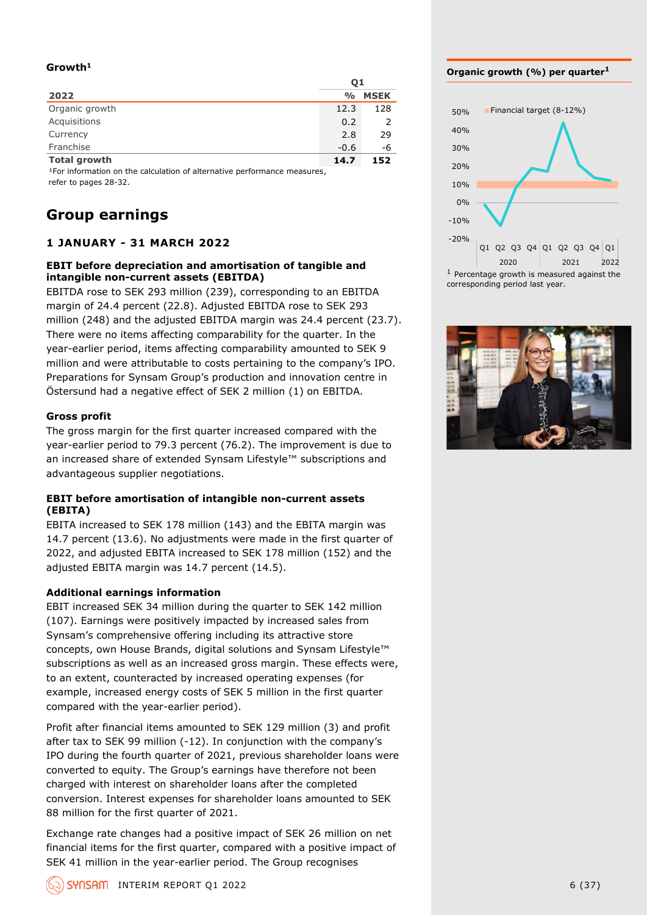### **Growth<sup>1</sup>**

|                     | 01            |             |
|---------------------|---------------|-------------|
| 2022                | $\frac{0}{0}$ | <b>MSEK</b> |
| Organic growth      | 12.3          | 128         |
| Acquisitions        | 0.2           | 2           |
| Currency            | 2.8           | 29          |
| Franchise           | $-0.6$        | -6          |
| <b>Total growth</b> | 14.7          | 152         |

<sup>1</sup> For information on the calculation of alternative performance measures, refer to pages 28-32.

### **Group earnings**

### **1 JANUARY - 31 MARCH 2022**

#### **EBIT before depreciation and amortisation of tangible and intangible non-current assets (EBITDA)**

EBITDA rose to SEK 293 million (239), corresponding to an EBITDA margin of 24.4 percent (22.8). Adjusted EBITDA rose to SEK 293 million (248) and the adjusted EBITDA margin was 24.4 percent (23.7). There were no items affecting comparability for the quarter. In the year-earlier period, items affecting comparability amounted to SEK 9 million and were attributable to costs pertaining to the company's IPO. Preparations for Synsam Group's production and innovation centre in Östersund had a negative effect of SEK 2 million (1) on EBITDA.

### **Gross profit**

The gross margin for the first quarter increased compared with the year-earlier period to 79.3 percent (76.2). The improvement is due to an increased share of extended Synsam Lifestyle™ subscriptions and advantageous supplier negotiations.

### **EBIT before amortisation of intangible non-current assets (EBITA)**

EBITA increased to SEK 178 million (143) and the EBITA margin was 14.7 percent (13.6). No adjustments were made in the first quarter of 2022, and adjusted EBITA increased to SEK 178 million (152) and the adjusted EBITA margin was 14.7 percent (14.5).

### **Additional earnings information**

EBIT increased SEK 34 million during the quarter to SEK 142 million (107). Earnings were positively impacted by increased sales from Synsam's comprehensive offering including its attractive store concepts, own House Brands, digital solutions and Synsam Lifestyle™ subscriptions as well as an increased gross margin. These effects were, to an extent, counteracted by increased operating expenses (for example, increased energy costs of SEK 5 million in the first quarter compared with the year-earlier period).

Profit after financial items amounted to SEK 129 million (3) and profit after tax to SEK 99 million (-12). In conjunction with the company's IPO during the fourth quarter of 2021, previous shareholder loans were converted to equity. The Group's earnings have therefore not been charged with interest on shareholder loans after the completed conversion. Interest expenses for shareholder loans amounted to SEK 88 million for the first quarter of 2021.

Exchange rate changes had a positive impact of SEK 26 million on net financial items for the first quarter, compared with a positive impact of SEK 41 million in the year-earlier period. The Group recognises

#### **Organic growth (%) per quarter<sup>1</sup>**



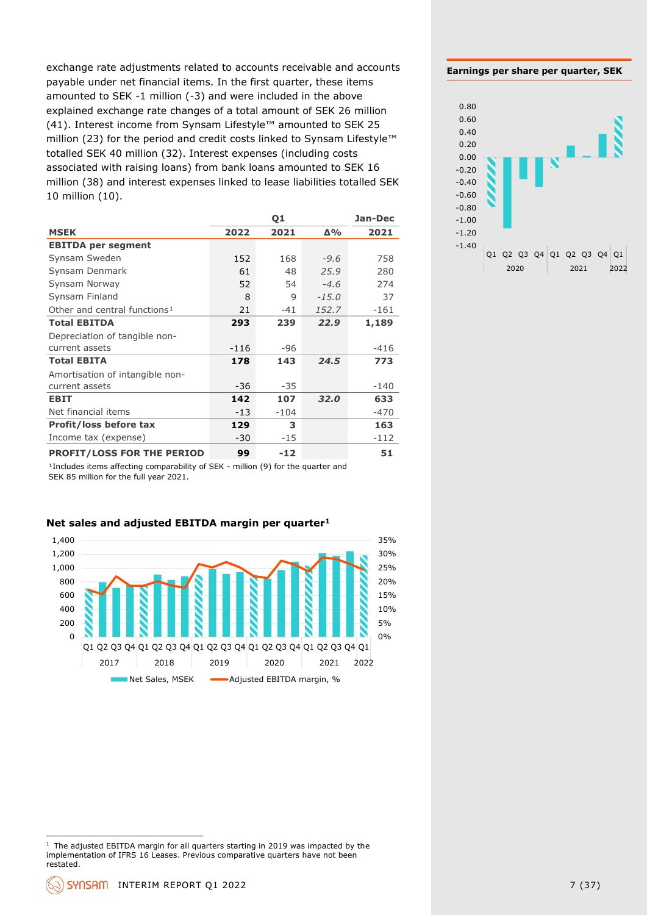exchange rate adjustments related to accounts receivable and accounts payable under net financial items. In the first quarter, these items amounted to SEK -1 million (-3) and were included in the above explained exchange rate changes of a total amount of SEK 26 million (41). Interest income from Synsam Lifestyle™ amounted to SEK 25 million (23) for the period and credit costs linked to Synsam Lifestyle™ totalled SEK 40 million (32). Interest expenses (including costs associated with raising loans) from bank loans amounted to SEK 16 million (38) and interest expenses linked to lease liabilities totalled SEK 10 million (10).

|                                          |        | Q1     |         | Jan-Dec |
|------------------------------------------|--------|--------|---------|---------|
| <b>MSEK</b>                              | 2022   | 2021   | Δ%      | 2021    |
| <b>EBITDA per segment</b>                |        |        |         |         |
| Synsam Sweden                            | 152    | 168    | $-9.6$  | 758     |
| Synsam Denmark                           | 61     | 48     | 25.9    | 280     |
| Synsam Norway                            | 52     | 54     | $-4.6$  | 274     |
| Synsam Finland                           | 8      | 9      | $-15.0$ | 37      |
| Other and central functions <sup>1</sup> | 21     | $-41$  | 152.7   | $-161$  |
| <b>Total EBITDA</b>                      | 293    | 239    | 22.9    | 1,189   |
| Depreciation of tangible non-            |        |        |         |         |
| current assets                           | $-116$ | -96    |         | $-416$  |
| <b>Total EBITA</b>                       | 178    | 143    | 24.5    | 773     |
| Amortisation of intangible non-          |        |        |         |         |
| current assets                           | $-36$  | $-35$  |         | $-140$  |
| <b>EBIT</b>                              | 142    | 107    | 32.0    | 633     |
| Net financial items                      | $-13$  | $-104$ |         | $-470$  |
| <b>Profit/loss before tax</b>            | 129    | 3      |         | 163     |
| Income tax (expense)                     | $-30$  | $-15$  |         | $-112$  |
| PROFIT/LOSS FOR THE PERIOD               | 99     | $-12$  |         | 51      |

<sup>1</sup>Includes items affecting comparability of SEK - million (9) for the quarter and SEK 85 million for the full year 2021.





35%

#### **Earnings per share per quarter, SEK**



 $1$  The adjusted EBITDA margin for all quarters starting in 2019 was impacted by the implementation of IFRS 16 Leases. Previous comparative quarters have not been restated.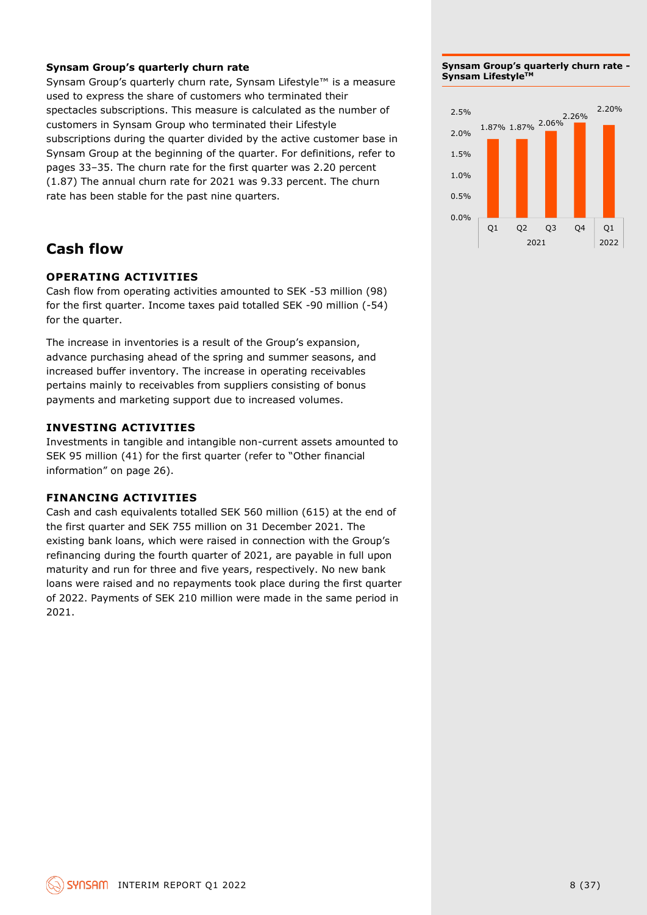### **Synsam Group's quarterly churn rate**

Synsam Group's quarterly churn rate, Synsam Lifestyle™ is a measure used to express the share of customers who terminated their spectacles subscriptions. This measure is calculated as the number of customers in Synsam Group who terminated their Lifestyle subscriptions during the quarter divided by the active customer base in Synsam Group at the beginning of the quarter. For definitions, refer to pages 33–35. The churn rate for the first quarter was 2.20 percent (1.87) The annual churn rate for 2021 was 9.33 percent. The churn rate has been stable for the past nine quarters.

### **Cash flow**

### **OPERATING ACTIVITIES**

Cash flow from operating activities amounted to SEK -53 million (98) for the first quarter. Income taxes paid totalled SEK -90 million (-54) for the quarter.

The increase in inventories is a result of the Group's expansion, advance purchasing ahead of the spring and summer seasons, and increased buffer inventory. The increase in operating receivables pertains mainly to receivables from suppliers consisting of bonus payments and marketing support due to increased volumes.

### **INVESTING ACTIVITIES**

Investments in tangible and intangible non-current assets amounted to SEK 95 million (41) for the first quarter (refer to "Other financial information" on page 26).

### **FINANCING ACTIVITIES**

Cash and cash equivalents totalled SEK 560 million (615) at the end of the first quarter and SEK 755 million on 31 December 2021. The existing bank loans, which were raised in connection with the Group's refinancing during the fourth quarter of 2021, are payable in full upon maturity and run for three and five years, respectively. No new bank loans were raised and no repayments took place during the first quarter of 2022. Payments of SEK 210 million were made in the same period in 2021.

**Synsam Group's quarterly churn rate - Synsam LifestyleTM**

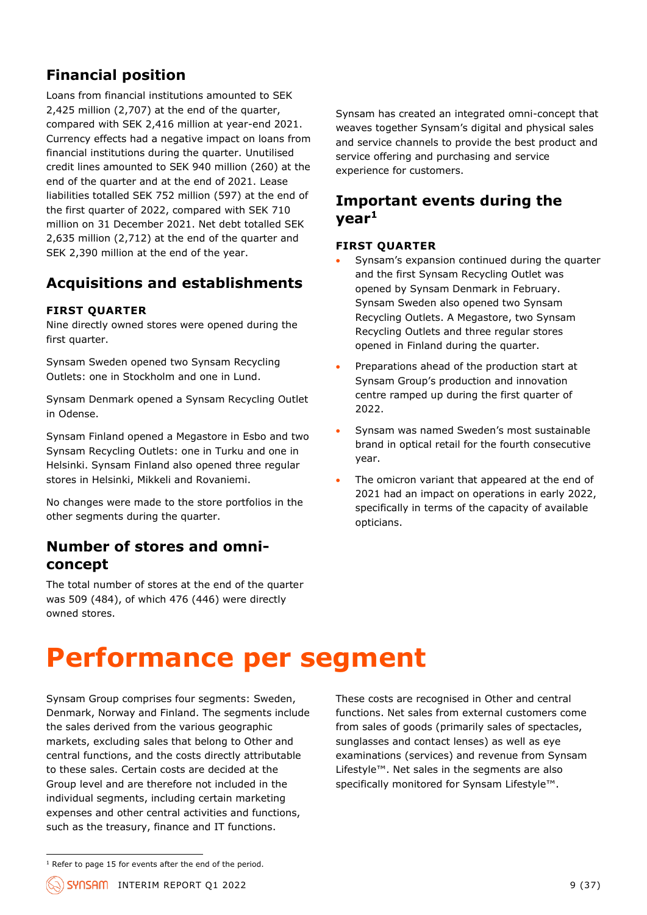### **Financial position**

Loans from financial institutions amounted to SEK 2,425 million (2,707) at the end of the quarter, compared with SEK 2,416 million at year-end 2021. Currency effects had a negative impact on loans from financial institutions during the quarter. Unutilised credit lines amounted to SEK 940 million (260) at the end of the quarter and at the end of 2021. Lease liabilities totalled SEK 752 million (597) at the end of the first quarter of 2022, compared with SEK 710 million on 31 December 2021. Net debt totalled SEK 2,635 million (2,712) at the end of the quarter and SEK 2,390 million at the end of the year.

### **Acquisitions and establishments**

### **FIRST QUARTER**

Nine directly owned stores were opened during the first quarter.

Synsam Sweden opened two Synsam Recycling Outlets: one in Stockholm and one in Lund.

Synsam Denmark opened a Synsam Recycling Outlet in Odense.

Synsam Finland opened a Megastore in Esbo and two Synsam Recycling Outlets: one in Turku and one in Helsinki. Synsam Finland also opened three regular stores in Helsinki, Mikkeli and Rovaniemi.

No changes were made to the store portfolios in the other segments during the quarter.

### **Number of stores and omniconcept**

The total number of stores at the end of the quarter was 509 (484), of which 476 (446) were directly owned stores.

Synsam has created an integrated omni-concept that weaves together Synsam's digital and physical sales and service channels to provide the best product and service offering and purchasing and service experience for customers.

### **Important events during the year<sup>1</sup>**

### **FIRST QUARTER**

- Synsam's expansion continued during the quarter and the first Synsam Recycling Outlet was opened by Synsam Denmark in February. Synsam Sweden also opened two Synsam Recycling Outlets. A Megastore, two Synsam Recycling Outlets and three regular stores opened in Finland during the quarter.
- Preparations ahead of the production start at Synsam Group's production and innovation centre ramped up during the first quarter of 2022.
- Synsam was named Sweden's most sustainable brand in optical retail for the fourth consecutive year.
- The omicron variant that appeared at the end of 2021 had an impact on operations in early 2022, specifically in terms of the capacity of available opticians.

## **Performance per segment**

Synsam Group comprises four segments: Sweden, Denmark, Norway and Finland. The segments include the sales derived from the various geographic markets, excluding sales that belong to Other and central functions, and the costs directly attributable to these sales. Certain costs are decided at the Group level and are therefore not included in the individual segments, including certain marketing expenses and other central activities and functions, such as the treasury, finance and IT functions.

These costs are recognised in Other and central functions. Net sales from external customers come from sales of goods (primarily sales of spectacles, sunglasses and contact lenses) as well as eye examinations (services) and revenue from Synsam Lifestyle™. Net sales in the segments are also specifically monitored for Synsam Lifestyle™.

 $1$  Refer to page 15 for events after the end of the period.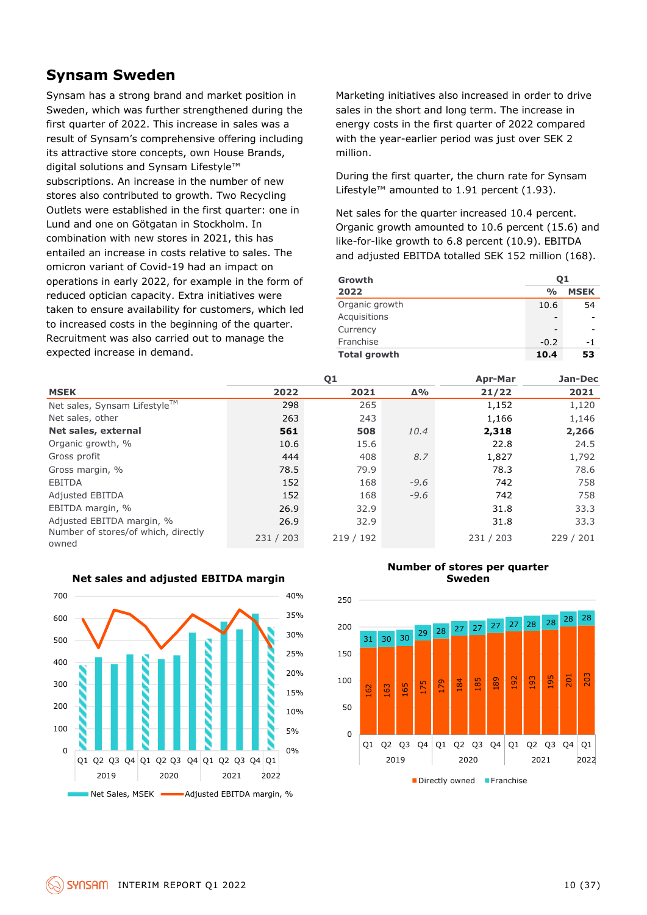### **Synsam Sweden**

Synsam has a strong brand and market position in Sweden, which was further strengthened during the first quarter of 2022. This increase in sales was a result of Synsam's comprehensive offering including its attractive store concepts, own House Brands, digital solutions and Synsam Lifestyle™ subscriptions. An increase in the number of new stores also contributed to growth. Two Recycling Outlets were established in the first quarter: one in Lund and one on Götgatan in Stockholm. In combination with new stores in 2021, this has entailed an increase in costs relative to sales. The omicron variant of Covid-19 had an impact on operations in early 2022, for example in the form of reduced optician capacity. Extra initiatives were taken to ensure availability for customers, which led to increased costs in the beginning of the quarter. Recruitment was also carried out to manage the expected increase in demand.

Marketing initiatives also increased in order to drive sales in the short and long term. The increase in energy costs in the first quarter of 2022 compared with the year-earlier period was just over SEK 2 million.

During the first quarter, the churn rate for Synsam Lifestyle™ amounted to 1.91 percent (1.93).

Net sales for the quarter increased 10.4 percent. Organic growth amounted to 10.6 percent (15.6) and like-for-like growth to 6.8 percent (10.9). EBITDA and adjusted EBITDA totalled SEK 152 million (168).

| Growth              | 01            |             |
|---------------------|---------------|-------------|
| 2022                | $\frac{0}{0}$ | <b>MSEK</b> |
| Organic growth      | 10.6          | 54          |
| Acquisitions        |               |             |
| Currency            |               |             |
| Franchise           | $-0.2$        | -1          |
| <b>Total growth</b> | 10.4          | 53          |

|                                              |           | Q <sub>1</sub> |            |           | Jan-Dec   |
|----------------------------------------------|-----------|----------------|------------|-----------|-----------|
| <b>MSEK</b>                                  | 2022      | 2021           | $\Delta\%$ | 21/22     | 2021      |
| Net sales, Synsam Lifestyle™                 | 298       | 265            |            | 1,152     | 1,120     |
| Net sales, other                             | 263       | 243            |            | 1,166     | 1,146     |
| Net sales, external                          | 561       | 508            | 10.4       | 2,318     | 2,266     |
| Organic growth, %                            | 10.6      | 15.6           |            | 22.8      | 24.5      |
| Gross profit                                 | 444       | 408            | 8.7        | 1,827     | 1,792     |
| Gross margin, %                              | 78.5      | 79.9           |            | 78.3      | 78.6      |
| <b>EBITDA</b>                                | 152       | 168            | $-9.6$     | 742       | 758       |
| <b>Adjusted EBITDA</b>                       | 152       | 168            | $-9.6$     | 742       | 758       |
| EBITDA margin, %                             | 26.9      | 32.9           |            | 31.8      | 33.3      |
| Adjusted EBITDA margin, %                    | 26.9      | 32.9           |            | 31.8      | 33.3      |
| Number of stores/of which, directly<br>owned | 231 / 203 | 219/192        |            | 231 / 203 | 229 / 201 |



#### **Net sales and adjusted EBITDA margin**

#### **Number of stores per quarter Sweden**



 $\blacksquare$  Directly owned  $\blacksquare$  Franchise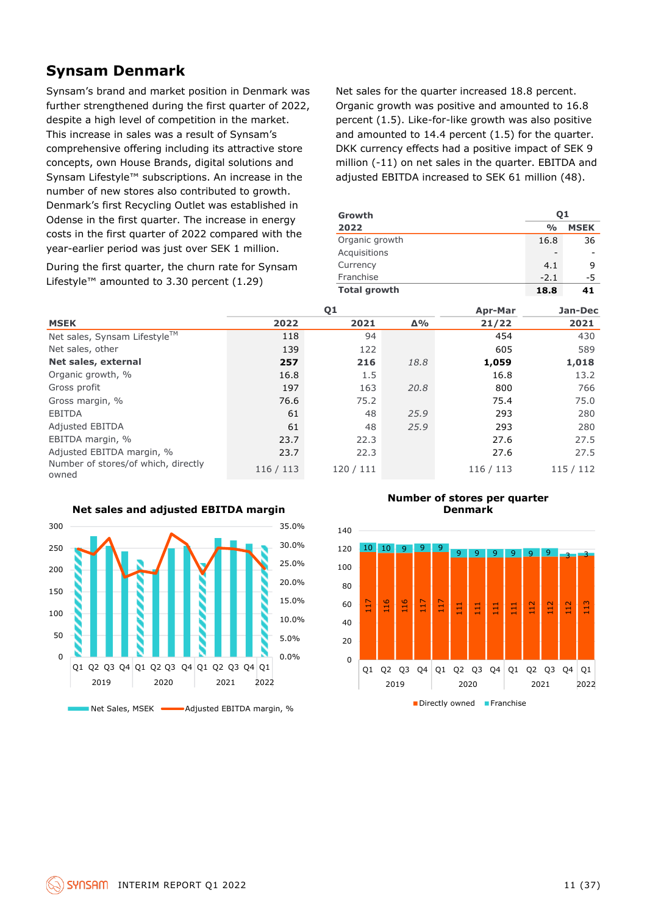### **Synsam Denmark**

Synsam's brand and market position in Denmark was further strengthened during the first quarter of 2022, despite a high level of competition in the market. This increase in sales was a result of Synsam's comprehensive offering including its attractive store concepts, own House Brands, digital solutions and Synsam Lifestyle™ subscriptions. An increase in the number of new stores also contributed to growth. Denmark's first Recycling Outlet was established in Odense in the first quarter. The increase in energy costs in the first quarter of 2022 compared with the year-earlier period was just over SEK 1 million.

During the first quarter, the churn rate for Synsam Lifestyle™ amounted to 3.30 percent (1.29)

Net sales for the quarter increased 18.8 percent. Organic growth was positive and amounted to 16.8 percent (1.5). Like-for-like growth was also positive and amounted to 14.4 percent (1.5) for the quarter. DKK currency effects had a positive impact of SEK 9 million (-11) on net sales in the quarter. EBITDA and adjusted EBITDA increased to SEK 61 million (48).

| Growth<br>2022      | 01<br>$\frac{0}{0}$ | <b>MSEK</b> |
|---------------------|---------------------|-------------|
| Organic growth      | 16.8                | 36          |
| Acquisitions        | -                   |             |
| Currency            | 4.1                 | 9           |
| Franchise           | $-2.1$              | -5          |
| <b>Total growth</b> | 18.8                | 41          |

|                                              |         | Q1      |            | <b>Apr-Mar</b> | Jan-Dec   |
|----------------------------------------------|---------|---------|------------|----------------|-----------|
| <b>MSEK</b>                                  | 2022    | 2021    | $\Delta\%$ | 21/22          | 2021      |
| Net sales, Synsam Lifestyle™                 | 118     | 94      |            | 454            | 430       |
| Net sales, other                             | 139     | 122     |            | 605            | 589       |
| Net sales, external                          | 257     | 216     | 18.8       | 1,059          | 1,018     |
| Organic growth, %                            | 16.8    | 1.5     |            | 16.8           | 13.2      |
| Gross profit                                 | 197     | 163     | 20.8       | 800            | 766       |
| Gross margin, %                              | 76.6    | 75.2    |            | 75.4           | 75.0      |
| <b>EBITDA</b>                                | 61      | 48      | 25.9       | 293            | 280       |
| <b>Adjusted EBITDA</b>                       | 61      | 48      | 25.9       | 293            | 280       |
| EBITDA margin, %                             | 23.7    | 22.3    |            | 27.6           | 27.5      |
| Adjusted EBITDA margin, %                    | 23.7    | 22.3    |            | 27.6           | 27.5      |
| Number of stores/of which, directly<br>owned | 116/113 | 120/111 |            | 116 / 113      | 115 / 112 |



### **Net sales and adjusted EBITDA margin**

#### **Number of stores per quarter Denmark**

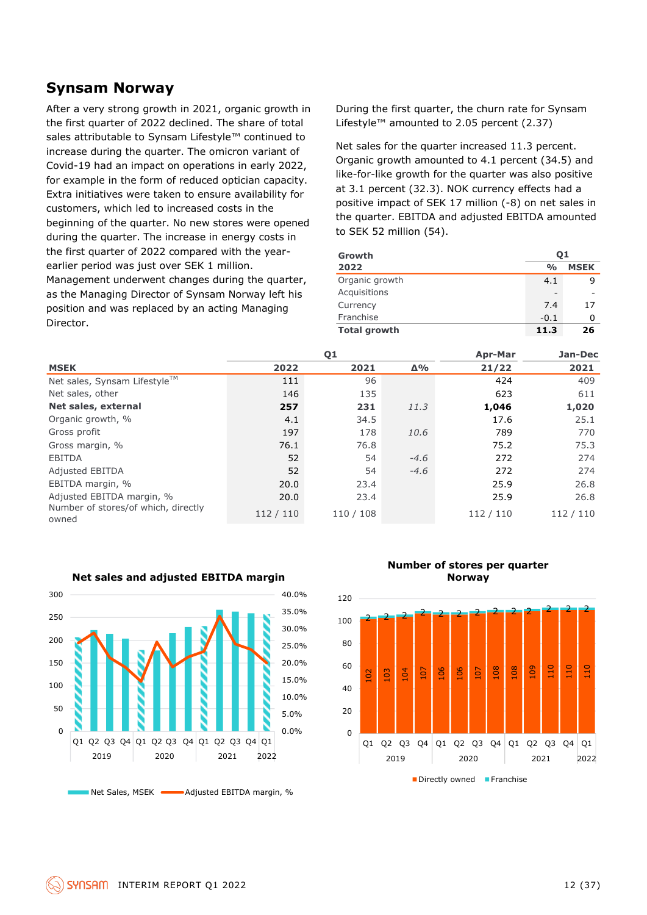### **Synsam Norway**

After a very strong growth in 2021, organic growth in the first quarter of 2022 declined. The share of total sales attributable to Synsam Lifestyle™ continued to increase during the quarter. The omicron variant of Covid-19 had an impact on operations in early 2022, for example in the form of reduced optician capacity. Extra initiatives were taken to ensure availability for customers, which led to increased costs in the beginning of the quarter. No new stores were opened during the quarter. The increase in energy costs in the first quarter of 2022 compared with the yearearlier period was just over SEK 1 million. Management underwent changes during the quarter, as the Managing Director of Synsam Norway left his position and was replaced by an acting Managing Director.

During the first quarter, the churn rate for Synsam Lifestyle™ amounted to 2.05 percent (2.37)

Net sales for the quarter increased 11.3 percent. Organic growth amounted to 4.1 percent (34.5) and like-for-like growth for the quarter was also positive at 3.1 percent (32.3). NOK currency effects had a positive impact of SEK 17 million (-8) on net sales in the quarter. EBITDA and adjusted EBITDA amounted to SEK 52 million (54).

| Growth              | 01            |             |
|---------------------|---------------|-------------|
| 2022                | $\frac{0}{0}$ | <b>MSEK</b> |
| Organic growth      | 4.1           |             |
| Acquisitions        | -             |             |
| Currency            | 7.4           | 17          |
| Franchise           | $-0.1$        | 0           |
| <b>Total growth</b> | 11.3          | 26          |

|                                              | Q <sub>1</sub> |           |            | <b>Apr-Mar</b> | Jan-Dec   |
|----------------------------------------------|----------------|-----------|------------|----------------|-----------|
| <b>MSEK</b>                                  | 2022           | 2021      | $\Delta\%$ | 21/22          | 2021      |
| Net sales, Synsam Lifestyle™                 | 111            | 96        |            | 424            | 409       |
| Net sales, other                             | 146            | 135       |            | 623            | 611       |
| Net sales, external                          | 257            | 231       | 11.3       | 1,046          | 1,020     |
| Organic growth, %                            | 4.1            | 34.5      |            | 17.6           | 25.1      |
| Gross profit                                 | 197            | 178       | 10.6       | 789            | 770       |
| Gross margin, %                              | 76.1           | 76.8      |            | 75.2           | 75.3      |
| <b>EBITDA</b>                                | 52             | 54        | $-4.6$     | 272            | 274       |
| <b>Adjusted EBITDA</b>                       | 52             | 54        | $-4.6$     | 272            | 274       |
| EBITDA margin, %                             | 20.0           | 23.4      |            | 25.9           | 26.8      |
| Adjusted EBITDA margin, %                    | 20.0           | 23.4      |            | 25.9           | 26.8      |
| Number of stores/of which, directly<br>owned | 112 / 110      | 110 / 108 |            | 112 / 110      | 112 / 110 |



**Net sales and adjusted EBITDA margin**

**Number of stores per quarter Norway**

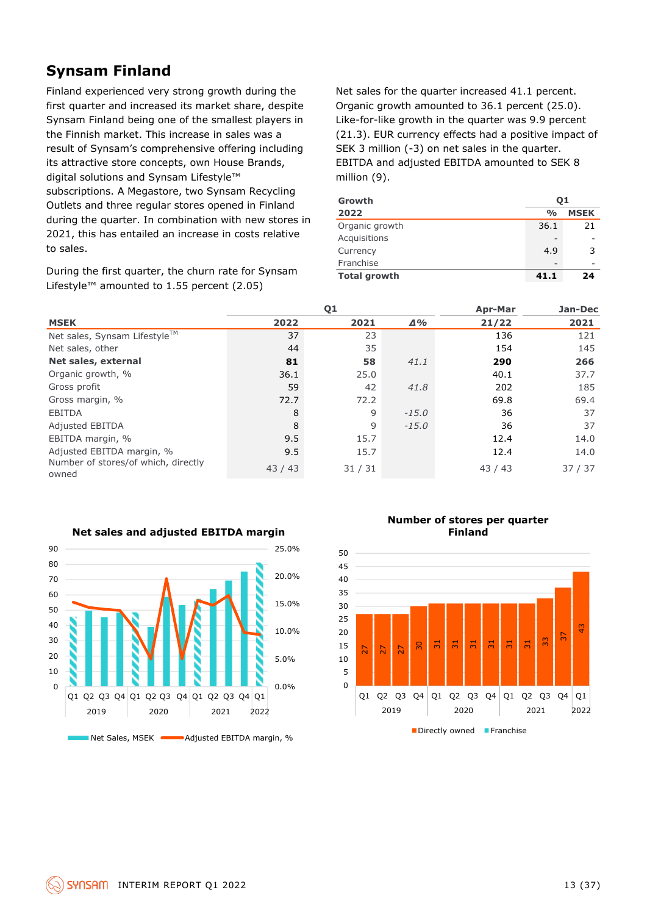### **Synsam Finland**

Finland experienced very strong growth during the first quarter and increased its market share, despite Synsam Finland being one of the smallest players in the Finnish market. This increase in sales was a result of Synsam's comprehensive offering including its attractive store concepts, own House Brands, digital solutions and Synsam Lifestyle™ subscriptions. A Megastore, two Synsam Recycling Outlets and three regular stores opened in Finland during the quarter. In combination with new stores in 2021, this has entailed an increase in costs relative to sales.

During the first quarter, the churn rate for Synsam Lifestyle™ amounted to 1.55 percent (2.05)

Net sales for the quarter increased 41.1 percent. Organic growth amounted to 36.1 percent (25.0). Like-for-like growth in the quarter was 9.9 percent (21.3). EUR currency effects had a positive impact of SEK 3 million (-3) on net sales in the quarter. EBITDA and adjusted EBITDA amounted to SEK 8 million (9).

| Growth              | 01            |             |  |  |
|---------------------|---------------|-------------|--|--|
| 2022                | $\frac{0}{0}$ | <b>MSEK</b> |  |  |
| Organic growth      | 36.1          | 21          |  |  |
| Acquisitions        |               |             |  |  |
| Currency            | 4.9           | 3           |  |  |
| Franchise           |               |             |  |  |
| <b>Total growth</b> | 41.1          | 24          |  |  |

|                                              |       | Q <sub>1</sub> | <b>Apr-Mar</b> | Jan-Dec |       |
|----------------------------------------------|-------|----------------|----------------|---------|-------|
| <b>MSEK</b>                                  | 2022  | 2021           | $\Delta\%$     | 21/22   | 2021  |
| Net sales, Synsam Lifestyle™                 | 37    | 23             |                | 136     | 121   |
| Net sales, other                             | 44    | 35             |                | 154     | 145   |
| Net sales, external                          | 81    | 58             | 41.1           | 290     | 266   |
| Organic growth, %                            | 36.1  | 25.0           |                | 40.1    | 37.7  |
| Gross profit                                 | 59    | 42             | 41.8           | 202     | 185   |
| Gross margin, %                              | 72.7  | 72.2           |                | 69.8    | 69.4  |
| <b>EBITDA</b>                                | 8     | 9              | $-15.0$        | 36      | 37    |
| <b>Adjusted EBITDA</b>                       | 8     | 9              | $-15.0$        | 36      | 37    |
| EBITDA margin, %                             | 9.5   | 15.7           |                | 12.4    | 14.0  |
| Adjusted EBITDA margin, %                    | 9.5   | 15.7           |                | 12.4    | 14.0  |
| Number of stores/of which, directly<br>owned | 43/43 | 31/31          |                | 43/43   | 37/37 |



#### **Number of stores per quarter Finland**

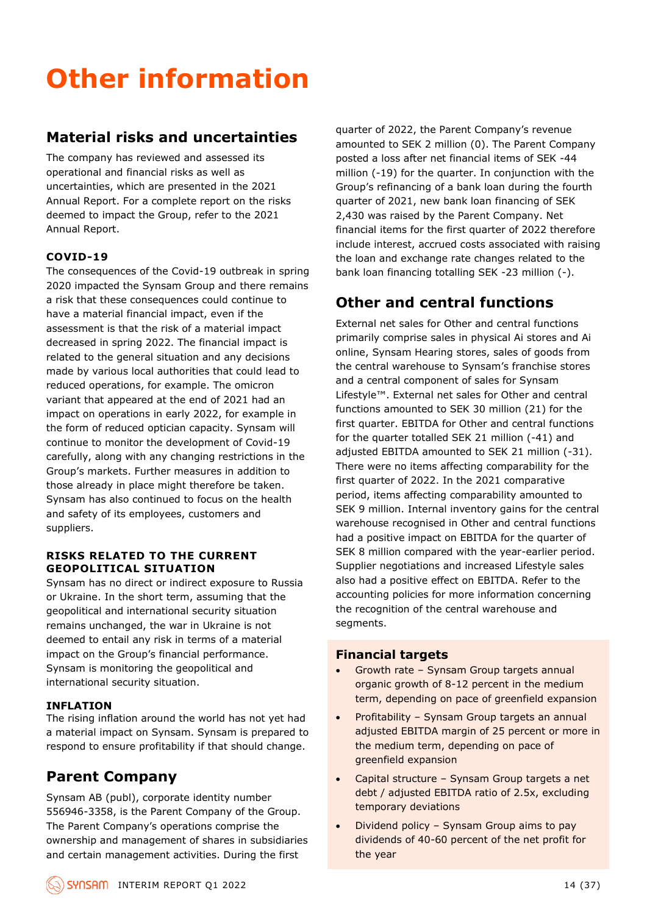# **Other information**

### **Material risks and uncertainties**

The company has reviewed and assessed its operational and financial risks as well as uncertainties, which are presented in the 2021 Annual Report. For a complete report on the risks deemed to impact the Group, refer to the 2021 Annual Report.

### **COVID-19**

The consequences of the Covid-19 outbreak in spring 2020 impacted the Synsam Group and there remains a risk that these consequences could continue to have a material financial impact, even if the assessment is that the risk of a material impact decreased in spring 2022. The financial impact is related to the general situation and any decisions made by various local authorities that could lead to reduced operations, for example. The omicron variant that appeared at the end of 2021 had an impact on operations in early 2022, for example in the form of reduced optician capacity. Synsam will continue to monitor the development of Covid-19 carefully, along with any changing restrictions in the Group's markets. Further measures in addition to those already in place might therefore be taken. Synsam has also continued to focus on the health and safety of its employees, customers and suppliers.

### **RISKS RELATED TO THE CURRENT GEOPOLITICAL SITUATION**

Synsam has no direct or indirect exposure to Russia or Ukraine. In the short term, assuming that the geopolitical and international security situation remains unchanged, the war in Ukraine is not deemed to entail any risk in terms of a material impact on the Group's financial performance. Synsam is monitoring the geopolitical and international security situation.

### **INFLATION**

The rising inflation around the world has not yet had a material impact on Synsam. Synsam is prepared to respond to ensure profitability if that should change.

### **Parent Company**

Synsam AB (publ), corporate identity number 556946-3358, is the Parent Company of the Group. The Parent Company's operations comprise the ownership and management of shares in subsidiaries and certain management activities. During the first

quarter of 2022, the Parent Company's revenue amounted to SEK 2 million (0). The Parent Company posted a loss after net financial items of SEK -44 million (-19) for the quarter. In conjunction with the Group's refinancing of a bank loan during the fourth quarter of 2021, new bank loan financing of SEK 2,430 was raised by the Parent Company. Net financial items for the first quarter of 2022 therefore include interest, accrued costs associated with raising the loan and exchange rate changes related to the bank loan financing totalling SEK -23 million (-).

### **Other and central functions**

External net sales for Other and central functions primarily comprise sales in physical Ai stores and Ai online, Synsam Hearing stores, sales of goods from the central warehouse to Synsam's franchise stores and a central component of sales for Synsam Lifestyle™. External net sales for Other and central functions amounted to SEK 30 million (21) for the first quarter. EBITDA for Other and central functions for the quarter totalled SEK 21 million (-41) and adjusted EBITDA amounted to SEK 21 million (-31). There were no items affecting comparability for the first quarter of 2022. In the 2021 comparative period, items affecting comparability amounted to SEK 9 million. Internal inventory gains for the central warehouse recognised in Other and central functions had a positive impact on EBITDA for the quarter of SEK 8 million compared with the year-earlier period. Supplier negotiations and increased Lifestyle sales also had a positive effect on EBITDA. Refer to the accounting policies for more information concerning the recognition of the central warehouse and segments.

### **Financial targets**

- Growth rate Synsam Group targets annual organic growth of 8-12 percent in the medium term, depending on pace of greenfield expansion
- Profitability Synsam Group targets an annual adjusted EBITDA margin of 25 percent or more in the medium term, depending on pace of greenfield expansion
- Capital structure Synsam Group targets a net debt / adjusted EBITDA ratio of 2.5x, excluding temporary deviations
- Dividend policy Synsam Group aims to pay dividends of 40-60 percent of the net profit for the year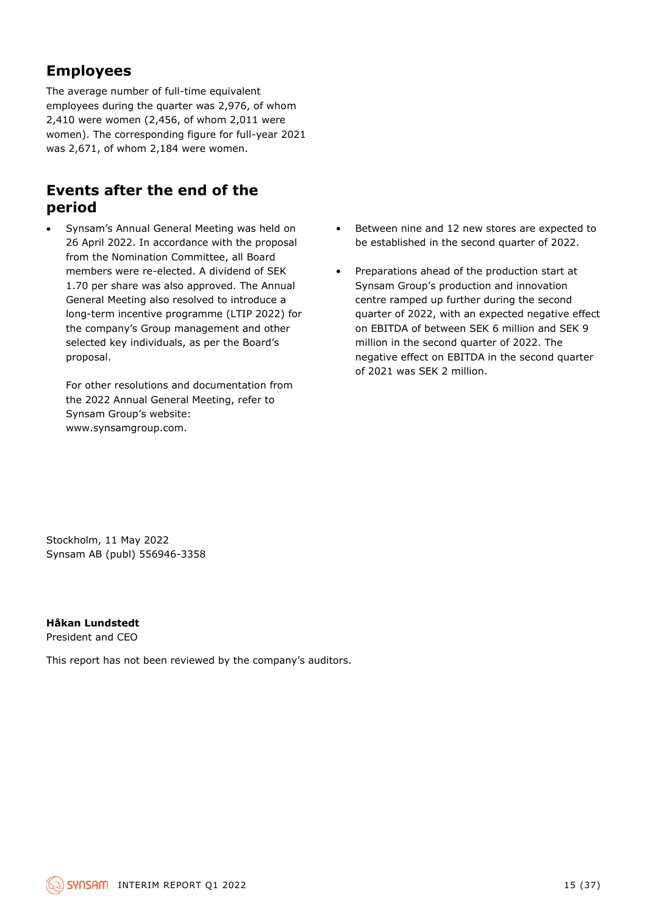### **Employees**

The average number of full-time equivalent employees during the quarter was 2,976, of whom 2,410 were women (2,456, of whom 2,011 were women). The corresponding figure for full-year 2021 was 2,671, of whom 2,184 were women.

### **Events after the end of the period**

• Synsam's Annual General Meeting was held on 26 April 2022. In accordance with the proposal from the Nomination Committee, all Board members were re-elected. A dividend of SEK 1.70 per share was also approved. The Annual General Meeting also resolved to introduce a long-term incentive programme (LTIP 2022) for the company's Group management and other selected key individuals, as per the Board's proposal.

For other resolutions and documentation from the 2022 Annual General Meeting, refer to Synsam Group's website: www.synsamgroup.com.

- Between nine and 12 new stores are expected to be established in the second quarter of 2022.
- Preparations ahead of the production start at Synsam Group's production and innovation centre ramped up further during the second quarter of 2022, with an expected negative effect on EBITDA of between SEK 6 million and SEK 9 million in the second quarter of 2022. The negative effect on EBITDA in the second quarter of 2021 was SEK 2 million.

Stockholm, 11 May 2022 Synsam AB (publ) 556946-3358

**Håkan Lundstedt**

President and CEO

This report has not been reviewed by the company's auditors.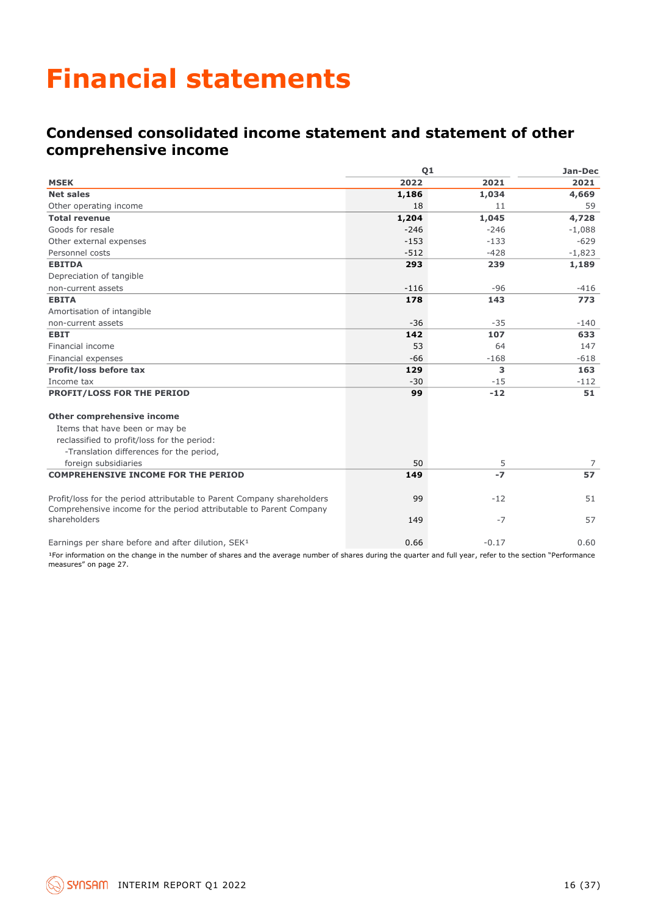## **Financial statements**

### **Condensed consolidated income statement and statement of other comprehensive income**

|                                                                                                                                                              | Q1     | Jan-Dec |          |
|--------------------------------------------------------------------------------------------------------------------------------------------------------------|--------|---------|----------|
| <b>MSEK</b>                                                                                                                                                  | 2022   | 2021    | 2021     |
| <b>Net sales</b>                                                                                                                                             | 1,186  | 1,034   | 4,669    |
| Other operating income                                                                                                                                       | 18     | 11      | 59       |
| <b>Total revenue</b>                                                                                                                                         | 1,204  | 1,045   | 4,728    |
| Goods for resale                                                                                                                                             | $-246$ | $-246$  | $-1,088$ |
| Other external expenses                                                                                                                                      | $-153$ | $-133$  | $-629$   |
| Personnel costs                                                                                                                                              | $-512$ | $-428$  | $-1,823$ |
| <b>EBITDA</b>                                                                                                                                                | 293    | 239     | 1,189    |
| Depreciation of tangible                                                                                                                                     |        |         |          |
| non-current assets                                                                                                                                           | $-116$ | -96     | $-416$   |
| <b>EBITA</b>                                                                                                                                                 | 178    | 143     | 773      |
| Amortisation of intangible                                                                                                                                   |        |         |          |
| non-current assets                                                                                                                                           | $-36$  | $-35$   | $-140$   |
| <b>EBIT</b>                                                                                                                                                  | 142    | 107     | 633      |
| Financial income                                                                                                                                             | 53     | 64      | 147      |
| Financial expenses                                                                                                                                           | $-66$  | $-168$  | $-618$   |
| Profit/loss before tax                                                                                                                                       | 129    | 3       | 163      |
| Income tax                                                                                                                                                   | $-30$  | $-15$   | $-112$   |
| PROFIT/LOSS FOR THE PERIOD                                                                                                                                   | 99     | $-12$   | 51       |
| <b>Other comprehensive income</b>                                                                                                                            |        |         |          |
| Items that have been or may be                                                                                                                               |        |         |          |
| reclassified to profit/loss for the period:                                                                                                                  |        |         |          |
| -Translation differences for the period,                                                                                                                     |        |         |          |
| foreign subsidiaries                                                                                                                                         | 50     | 5       | 7        |
| <b>COMPREHENSIVE INCOME FOR THE PERIOD</b>                                                                                                                   | 149    | $-7$    | 57       |
| Profit/loss for the period attributable to Parent Company shareholders<br>Comprehensive income for the period attributable to Parent Company                 | 99     | $-12$   | 51       |
| shareholders                                                                                                                                                 | 149    | $-7$    | 57       |
| Earnings per share before and after dilution, SEK <sup>1</sup>                                                                                               | 0.66   | $-0.17$ | 0.60     |
| I For information on the change in the number of charge and the average number of charge during the quarter and full year, refer to the section "Derformance |        |         |          |

For information on the change in the number of shares and the average number of shares during the quarter and full year, refer to the section "Performance measures" on page 27.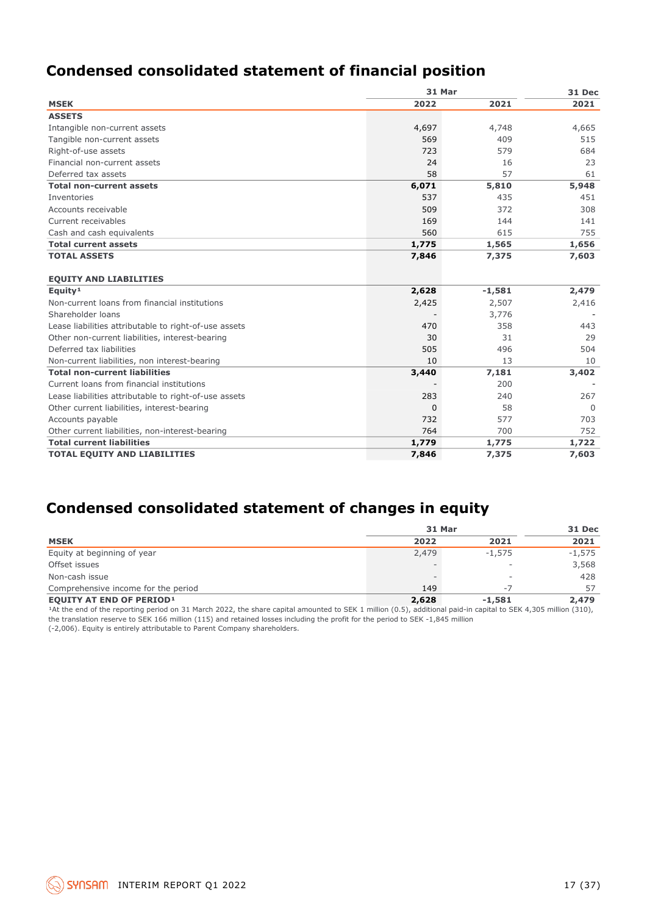### **Condensed consolidated statement of financial position**

|                                                       |          | 31 Mar   |          |  |  |
|-------------------------------------------------------|----------|----------|----------|--|--|
| <b>MSEK</b>                                           | 2022     | 2021     | 2021     |  |  |
| <b>ASSETS</b>                                         |          |          |          |  |  |
| Intangible non-current assets                         | 4,697    | 4,748    | 4,665    |  |  |
| Tangible non-current assets                           | 569      | 409      | 515      |  |  |
| Right-of-use assets                                   | 723      | 579      | 684      |  |  |
| Financial non-current assets                          | 24       | 16       | 23       |  |  |
| Deferred tax assets                                   | 58       | 57       | 61       |  |  |
| <b>Total non-current assets</b>                       | 6,071    | 5,810    | 5,948    |  |  |
| Inventories                                           | 537      | 435      | 451      |  |  |
| Accounts receivable                                   | 509      | 372      | 308      |  |  |
| Current receivables                                   | 169      | 144      | 141      |  |  |
| Cash and cash equivalents                             | 560      | 615      | 755      |  |  |
| <b>Total current assets</b>                           | 1,775    | 1,565    | 1,656    |  |  |
| <b>TOTAL ASSETS</b>                                   | 7,846    | 7,375    | 7,603    |  |  |
|                                                       |          |          |          |  |  |
| <b>EQUITY AND LIABILITIES</b>                         |          |          |          |  |  |
| Equity <sup>1</sup>                                   | 2,628    | $-1,581$ | 2,479    |  |  |
| Non-current loans from financial institutions         | 2,425    | 2,507    | 2,416    |  |  |
| Shareholder loans                                     |          | 3,776    |          |  |  |
| Lease liabilities attributable to right-of-use assets | 470      | 358      | 443      |  |  |
| Other non-current liabilities, interest-bearing       | 30       | 31       | 29       |  |  |
| Deferred tax liabilities                              | 505      | 496      | 504      |  |  |
| Non-current liabilities, non interest-bearing         | 10       | 13       | 10       |  |  |
| <b>Total non-current liabilities</b>                  | 3,440    | 7,181    | 3,402    |  |  |
| Current loans from financial institutions             |          | 200      |          |  |  |
| Lease liabilities attributable to right-of-use assets | 283      | 240      | 267      |  |  |
| Other current liabilities, interest-bearing           | $\Omega$ | 58       | $\Omega$ |  |  |
| Accounts payable                                      | 732      | 577      | 703      |  |  |
| Other current liabilities, non-interest-bearing       | 764      | 700      | 752      |  |  |
| <b>Total current liabilities</b>                      | 1,779    | 1,775    | 1,722    |  |  |
| <b>TOTAL EQUITY AND LIABILITIES</b>                   | 7,846    | 7,375    | 7,603    |  |  |

### **Condensed consolidated statement of changes in equity**

|                                     | <b>31 Mar</b>            | 31 Dec                   |          |
|-------------------------------------|--------------------------|--------------------------|----------|
| <b>MSEK</b>                         | 2022                     | 2021                     | 2021     |
| Equity at beginning of year         | 2,479                    | $-1.575$                 | $-1,575$ |
| Offset issues                       | $\overline{\phantom{a}}$ | $\overline{\phantom{a}}$ | 3,568    |
| Non-cash issue                      | $\overline{\phantom{0}}$ | $\overline{\phantom{a}}$ | 428      |
| Comprehensive income for the period | 149                      | - 7                      | 57       |
| <b>EQUITY AT END OF PERIOD1</b>     | 2,628                    | $-1,581$                 | 2,479    |

<sup>1</sup>At the end of the reporting period on 31 March 2022, the share capital amounted to SEK 1 million (0.5), additional paid-in capital to SEK 4,305 million (310), the translation reserve to SEK 166 million (115) and retained losses including the profit for the period to SEK -1,845 million (-2,006). Equity is entirely attributable to Parent Company shareholders.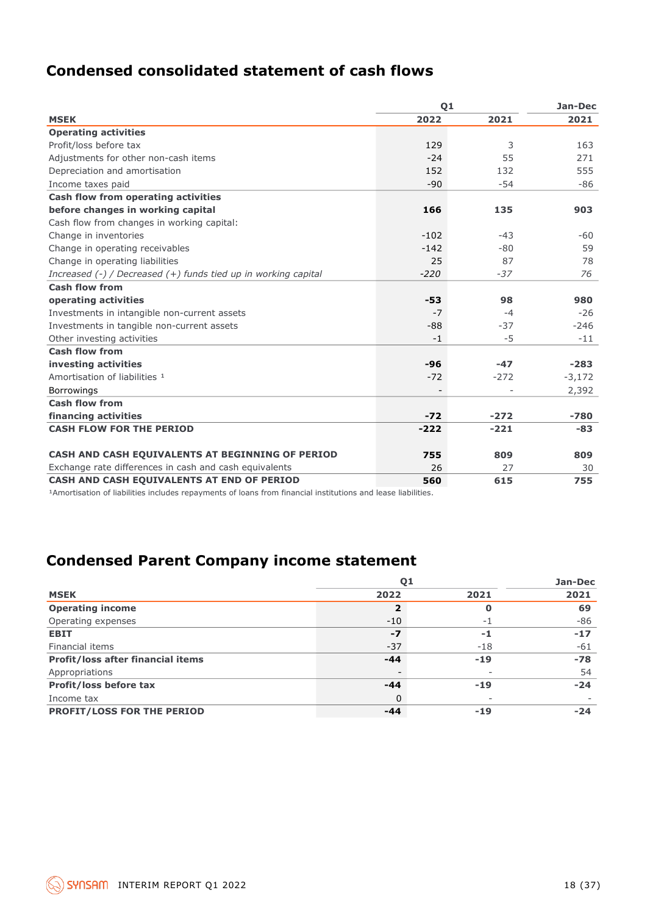### **Condensed consolidated statement of cash flows**

| Q <sub>1</sub> | Jan-Dec |          |
|----------------|---------|----------|
| 2022           | 2021    | 2021     |
|                |         |          |
| 129            | 3       | 163      |
| $-24$          | 55      | 271      |
| 152            | 132     | 555      |
| $-90$          | $-54$   | -86      |
|                |         |          |
| 166            | 135     | 903      |
|                |         |          |
| $-102$         | $-43$   | -60      |
| $-142$         | $-80$   | 59       |
| 25             | 87      | 78       |
| $-220$         | $-37$   | 76       |
|                |         |          |
| $-53$          | 98      | 980      |
| $-7$           | $-4$    | $-26$    |
| $-88$          | $-37$   | $-246$   |
| $-1$           | $-5$    | $-11$    |
|                |         |          |
| $-96$          | $-47$   | $-283$   |
| $-72$          | $-272$  | $-3,172$ |
|                |         | 2,392    |
|                |         |          |
| $-72$          | $-272$  | $-780$   |
| $-222$         | $-221$  | -83      |
|                |         |          |
| 755            | 809     | 809      |
| 26             | 27      | 30       |
| 560            | 615     | 755      |
|                |         |          |

<sup>1</sup>Amortisation of liabilities includes repayments of loans from financial institutions and lease liabilities.

### **Condensed Parent Company income statement**

|                                          | Q <sub>1</sub> | Jan-Dec |       |
|------------------------------------------|----------------|---------|-------|
| <b>MSEK</b>                              | 2022           | 2021    | 2021  |
| <b>Operating income</b>                  | 2              | O       | 69    |
| Operating expenses                       | $-10$          | - 1     | $-86$ |
| <b>EBIT</b>                              | $-7$           | -1      | $-17$ |
| Financial items                          | $-37$          | $-18$   | $-61$ |
| <b>Profit/loss after financial items</b> | $-44$          | $-19$   | $-78$ |
| Appropriations                           |                |         | 54    |
| Profit/loss before tax                   | $-44$          | $-19$   | $-24$ |
| Income tax                               | 0              |         |       |
| <b>PROFIT/LOSS FOR THE PERIOD</b>        | -44            | $-19$   | -24   |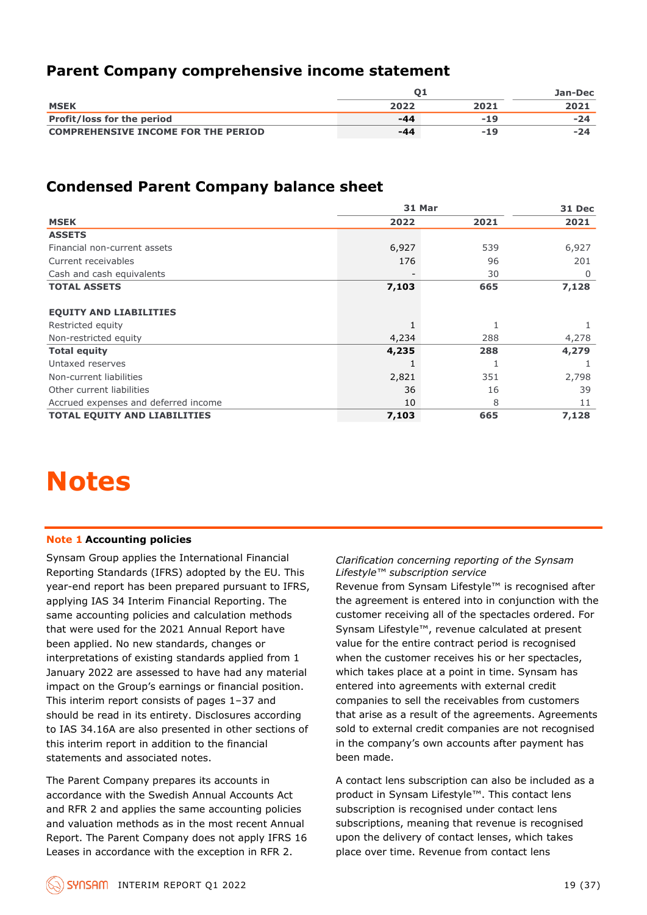### **Parent Company comprehensive income statement**

|                                            |      | Jan-Dec |      |
|--------------------------------------------|------|---------|------|
| <b>MSEK</b>                                | 2022 | 2021    | 2021 |
| <b>Profit/loss for the period</b>          | -44  | $-19$   | -24  |
| <b>COMPREHENSIVE INCOME FOR THE PERIOD</b> | -44  | -19     | -24  |

### **Condensed Parent Company balance sheet**

|                                                                                                                                                                                                                                                                                                                                                                                                                                                                                                                                                                                                                                                                                                                                                                                                          | Q1                                                                                                                                                                                                                                                                                                                                                                                                                                                                                                                                                                                                                                                                                                                                                                  |       | <b>Jan-Dec</b> |  |  |
|----------------------------------------------------------------------------------------------------------------------------------------------------------------------------------------------------------------------------------------------------------------------------------------------------------------------------------------------------------------------------------------------------------------------------------------------------------------------------------------------------------------------------------------------------------------------------------------------------------------------------------------------------------------------------------------------------------------------------------------------------------------------------------------------------------|---------------------------------------------------------------------------------------------------------------------------------------------------------------------------------------------------------------------------------------------------------------------------------------------------------------------------------------------------------------------------------------------------------------------------------------------------------------------------------------------------------------------------------------------------------------------------------------------------------------------------------------------------------------------------------------------------------------------------------------------------------------------|-------|----------------|--|--|
| <b>MSEK</b>                                                                                                                                                                                                                                                                                                                                                                                                                                                                                                                                                                                                                                                                                                                                                                                              | 2022                                                                                                                                                                                                                                                                                                                                                                                                                                                                                                                                                                                                                                                                                                                                                                | 2021  | 2021           |  |  |
| Profit/loss for the period                                                                                                                                                                                                                                                                                                                                                                                                                                                                                                                                                                                                                                                                                                                                                                               | $-44$                                                                                                                                                                                                                                                                                                                                                                                                                                                                                                                                                                                                                                                                                                                                                               | $-19$ | -24            |  |  |
| <b>COMPREHENSIVE INCOME FOR THE PERIOD</b>                                                                                                                                                                                                                                                                                                                                                                                                                                                                                                                                                                                                                                                                                                                                                               | $-44$                                                                                                                                                                                                                                                                                                                                                                                                                                                                                                                                                                                                                                                                                                                                                               | $-19$ | -24            |  |  |
|                                                                                                                                                                                                                                                                                                                                                                                                                                                                                                                                                                                                                                                                                                                                                                                                          |                                                                                                                                                                                                                                                                                                                                                                                                                                                                                                                                                                                                                                                                                                                                                                     |       |                |  |  |
| <b>Condensed Parent Company balance sheet</b>                                                                                                                                                                                                                                                                                                                                                                                                                                                                                                                                                                                                                                                                                                                                                            | 31 Mar                                                                                                                                                                                                                                                                                                                                                                                                                                                                                                                                                                                                                                                                                                                                                              |       |                |  |  |
|                                                                                                                                                                                                                                                                                                                                                                                                                                                                                                                                                                                                                                                                                                                                                                                                          |                                                                                                                                                                                                                                                                                                                                                                                                                                                                                                                                                                                                                                                                                                                                                                     |       | 31 Dec         |  |  |
| <b>MSEK</b>                                                                                                                                                                                                                                                                                                                                                                                                                                                                                                                                                                                                                                                                                                                                                                                              | 2022                                                                                                                                                                                                                                                                                                                                                                                                                                                                                                                                                                                                                                                                                                                                                                | 2021  | 2021           |  |  |
| <b>ASSETS</b><br>Financial non-current assets                                                                                                                                                                                                                                                                                                                                                                                                                                                                                                                                                                                                                                                                                                                                                            | 6,927                                                                                                                                                                                                                                                                                                                                                                                                                                                                                                                                                                                                                                                                                                                                                               | 539   |                |  |  |
| Current receivables                                                                                                                                                                                                                                                                                                                                                                                                                                                                                                                                                                                                                                                                                                                                                                                      | 176                                                                                                                                                                                                                                                                                                                                                                                                                                                                                                                                                                                                                                                                                                                                                                 | 96    | 6,927<br>201   |  |  |
| Cash and cash equivalents                                                                                                                                                                                                                                                                                                                                                                                                                                                                                                                                                                                                                                                                                                                                                                                |                                                                                                                                                                                                                                                                                                                                                                                                                                                                                                                                                                                                                                                                                                                                                                     | 30    | 0              |  |  |
| <b>TOTAL ASSETS</b>                                                                                                                                                                                                                                                                                                                                                                                                                                                                                                                                                                                                                                                                                                                                                                                      | 7,103                                                                                                                                                                                                                                                                                                                                                                                                                                                                                                                                                                                                                                                                                                                                                               | 665   | 7,128          |  |  |
|                                                                                                                                                                                                                                                                                                                                                                                                                                                                                                                                                                                                                                                                                                                                                                                                          |                                                                                                                                                                                                                                                                                                                                                                                                                                                                                                                                                                                                                                                                                                                                                                     |       |                |  |  |
| <b>EQUITY AND LIABILITIES</b>                                                                                                                                                                                                                                                                                                                                                                                                                                                                                                                                                                                                                                                                                                                                                                            |                                                                                                                                                                                                                                                                                                                                                                                                                                                                                                                                                                                                                                                                                                                                                                     |       |                |  |  |
| Restricted equity                                                                                                                                                                                                                                                                                                                                                                                                                                                                                                                                                                                                                                                                                                                                                                                        | 1                                                                                                                                                                                                                                                                                                                                                                                                                                                                                                                                                                                                                                                                                                                                                                   | 1     | 1              |  |  |
| Non-restricted equity                                                                                                                                                                                                                                                                                                                                                                                                                                                                                                                                                                                                                                                                                                                                                                                    | 4,234                                                                                                                                                                                                                                                                                                                                                                                                                                                                                                                                                                                                                                                                                                                                                               | 288   | 4,278          |  |  |
| <b>Total equity</b>                                                                                                                                                                                                                                                                                                                                                                                                                                                                                                                                                                                                                                                                                                                                                                                      | 4,235                                                                                                                                                                                                                                                                                                                                                                                                                                                                                                                                                                                                                                                                                                                                                               | 288   | 4,279          |  |  |
| Untaxed reserves                                                                                                                                                                                                                                                                                                                                                                                                                                                                                                                                                                                                                                                                                                                                                                                         | $\mathbf{1}$                                                                                                                                                                                                                                                                                                                                                                                                                                                                                                                                                                                                                                                                                                                                                        | 1     | 1              |  |  |
| Non-current liabilities                                                                                                                                                                                                                                                                                                                                                                                                                                                                                                                                                                                                                                                                                                                                                                                  | 2,821                                                                                                                                                                                                                                                                                                                                                                                                                                                                                                                                                                                                                                                                                                                                                               | 351   | 2,798          |  |  |
| Other current liabilities                                                                                                                                                                                                                                                                                                                                                                                                                                                                                                                                                                                                                                                                                                                                                                                | 36                                                                                                                                                                                                                                                                                                                                                                                                                                                                                                                                                                                                                                                                                                                                                                  | 16    | 39             |  |  |
| Accrued expenses and deferred income                                                                                                                                                                                                                                                                                                                                                                                                                                                                                                                                                                                                                                                                                                                                                                     | 10                                                                                                                                                                                                                                                                                                                                                                                                                                                                                                                                                                                                                                                                                                                                                                  | 8     | 11             |  |  |
| TOTAL EQUITY AND LIABILITIES                                                                                                                                                                                                                                                                                                                                                                                                                                                                                                                                                                                                                                                                                                                                                                             | 7,103                                                                                                                                                                                                                                                                                                                                                                                                                                                                                                                                                                                                                                                                                                                                                               | 665   | 7,128          |  |  |
| <b>Notes</b>                                                                                                                                                                                                                                                                                                                                                                                                                                                                                                                                                                                                                                                                                                                                                                                             |                                                                                                                                                                                                                                                                                                                                                                                                                                                                                                                                                                                                                                                                                                                                                                     |       |                |  |  |
| <b>Note 1 Accounting policies</b>                                                                                                                                                                                                                                                                                                                                                                                                                                                                                                                                                                                                                                                                                                                                                                        |                                                                                                                                                                                                                                                                                                                                                                                                                                                                                                                                                                                                                                                                                                                                                                     |       |                |  |  |
| Synsam Group applies the International Financial<br>Reporting Standards (IFRS) adopted by the EU. This<br>year-end report has been prepared pursuant to IFRS,<br>applying IAS 34 Interim Financial Reporting. The<br>same accounting policies and calculation methods<br>that were used for the 2021 Annual Report have<br>been applied. No new standards, changes or<br>interpretations of existing standards applied from 1<br>January 2022 are assessed to have had any material<br>impact on the Group's earnings or financial position.<br>This interim report consists of pages 1-37 and<br>should be read in its entirety. Disclosures according<br>to IAS 34.16A are also presented in other sections of<br>this interim report in addition to the financial<br>statements and associated notes. | Clarification concerning reporting of the Synsam<br>Lifestyle™ subscription service<br>Revenue from Synsam Lifestyle™ is recognised after<br>the agreement is entered into in conjunction with the<br>customer receiving all of the spectacles ordered. For<br>Synsam Lifestyle™, revenue calculated at present<br>value for the entire contract period is recognised<br>when the customer receives his or her spectacles,<br>which takes place at a point in time. Synsam has<br>entered into agreements with external credit<br>companies to sell the receivables from customers<br>that arise as a result of the agreements. Agreements<br>sold to external credit companies are not recognised<br>in the company's own accounts after payment has<br>been made. |       |                |  |  |
| The Parent Company prepares its accounts in<br>accordance with the Swedish Annual Accounts Act<br>and RFR 2 and applies the same accounting policies<br>and valuation methods as in the most recent Annual<br>Report. The Parent Company does not apply IFRS 16<br>Leases in accordance with the exception in RFR 2.                                                                                                                                                                                                                                                                                                                                                                                                                                                                                     | A contact lens subscription can also be included as a<br>product in Synsam Lifestyle™. This contact lens<br>subscription is recognised under contact lens<br>subscriptions, meaning that revenue is recognised<br>upon the delivery of contact lenses, which takes<br>place over time. Revenue from contact lens                                                                                                                                                                                                                                                                                                                                                                                                                                                    |       |                |  |  |

## **Notes**

### **Note 1 Accounting policies**

### *Clarification concerning reporting of the Synsam Lifestyle™ subscription service*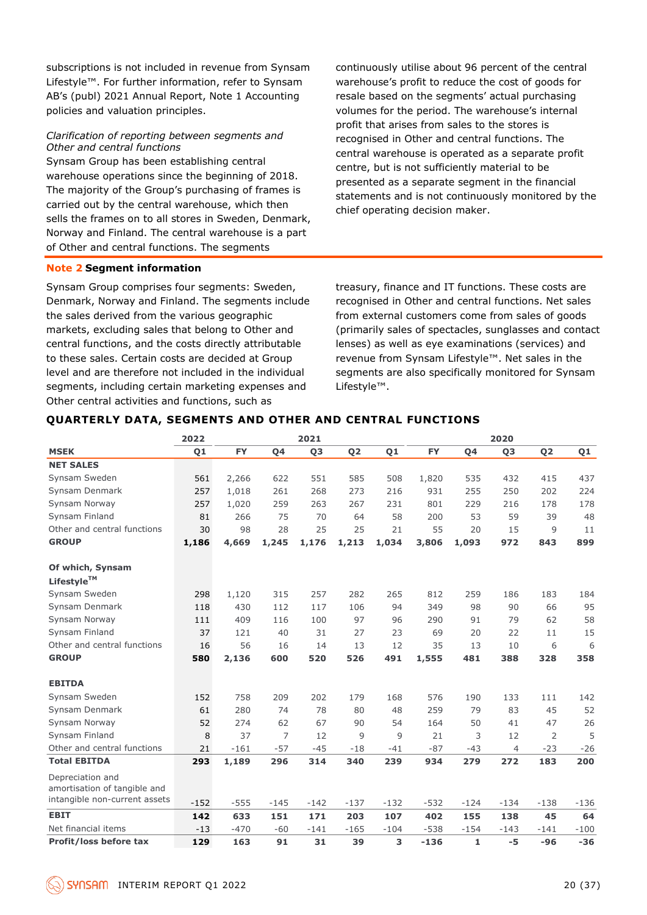subscriptions is not included in revenue from Synsam Lifestyle™. For further information, refer to Synsam AB's (publ) 2021 Annual Report, Note 1 Accounting policies and valuation principles.

#### *Clarification of reporting between segments and Other and central functions*

Synsam Group has been establishing central warehouse operations since the beginning of 2018. The majority of the Group's purchasing of frames is carried out by the central warehouse, which then sells the frames on to all stores in Sweden, Denmark, Norway and Finland. The central warehouse is a part of Other and central functions. The segments

### **Note 2 Segment information**

Synsam Group comprises four segments: Sweden, Denmark, Norway and Finland. The segments include the sales derived from the various geographic markets, excluding sales that belong to Other and central functions, and the costs directly attributable to these sales. Certain costs are decided at Group level and are therefore not included in the individual segments, including certain marketing expenses and Other central activities and functions, such as

continuously utilise about 96 percent of the central warehouse's profit to reduce the cost of goods for resale based on the segments' actual purchasing volumes for the period. The warehouse's internal profit that arises from sales to the stores is recognised in Other and central functions. The central warehouse is operated as a separate profit centre, but is not sufficiently material to be presented as a separate segment in the financial statements and is not continuously monitored by the chief operating decision maker.

treasury, finance and IT functions. These costs are recognised in Other and central functions. Net sales from external customers come from sales of goods (primarily sales of spectacles, sunglasses and contact lenses) as well as eye examinations (services) and revenue from Synsam Lifestyle™. Net sales in the segments are also specifically monitored for Synsam Lifestyle™.

### **QUARTERLY DATA, SEGMENTS AND OTHER AND CENTRAL FUNCTIONS**

|                               | 2022           |           |        | 2021   |                |                |           |        | 2020           |                |        |
|-------------------------------|----------------|-----------|--------|--------|----------------|----------------|-----------|--------|----------------|----------------|--------|
| <b>MSEK</b>                   | Q <sub>1</sub> | <b>FY</b> | 04     | Q3     | Q <sub>2</sub> | Q <sub>1</sub> | <b>FY</b> | Q4     | Q3             | Q <sub>2</sub> | Q1     |
| <b>NET SALES</b>              |                |           |        |        |                |                |           |        |                |                |        |
| Synsam Sweden                 | 561            | 2,266     | 622    | 551    | 585            | 508            | 1,820     | 535    | 432            | 415            | 437    |
| Synsam Denmark                | 257            | 1,018     | 261    | 268    | 273            | 216            | 931       | 255    | 250            | 202            | 224    |
| Synsam Norway                 | 257            | 1,020     | 259    | 263    | 267            | 231            | 801       | 229    | 216            | 178            | 178    |
| Synsam Finland                | 81             | 266       | 75     | 70     | 64             | 58             | 200       | 53     | 59             | 39             | 48     |
| Other and central functions   | 30             | 98        | 28     | 25     | 25             | 21             | 55        | 20     | 15             | 9              | 11     |
| <b>GROUP</b>                  | 1,186          | 4,669     | 1,245  | 1,176  | 1,213          | 1,034          | 3,806     | 1,093  | 972            | 843            | 899    |
| Of which, Synsam              |                |           |        |        |                |                |           |        |                |                |        |
| Lifestyle™                    |                |           |        |        |                |                |           |        |                |                |        |
| Synsam Sweden                 | 298            | 1,120     | 315    | 257    | 282            | 265            | 812       | 259    | 186            | 183            | 184    |
| Synsam Denmark                | 118            | 430       | 112    | 117    | 106            | 94             | 349       | 98     | 90             | 66             | 95     |
| Synsam Norway                 | 111            | 409       | 116    | 100    | 97             | 96             | 290       | 91     | 79             | 62             | 58     |
| Synsam Finland                | 37             | 121       | 40     | 31     | 27             | 23             | 69        | 20     | 22             | 11             | 15     |
| Other and central functions   | 16             | 56        | 16     | 14     | 13             | 12             | 35        | 13     | 10             | 6              | 6      |
| <b>GROUP</b>                  | 580            | 2,136     | 600    | 520    | 526            | 491            | 1,555     | 481    | 388            | 328            | 358    |
| <b>EBITDA</b>                 |                |           |        |        |                |                |           |        |                |                |        |
| Synsam Sweden                 | 152            | 758       | 209    | 202    | 179            | 168            | 576       | 190    | 133            | 111            | 142    |
| Synsam Denmark                | 61             | 280       | 74     | 78     | 80             | 48             | 259       | 79     | 83             | 45             | 52     |
| Synsam Norway                 | 52             | 274       | 62     | 67     | 90             | 54             | 164       | 50     | 41             | 47             | 26     |
| Synsam Finland                | 8              | 37        | 7      | 12     | 9              | 9              | 21        | 3      | 12             | $\overline{2}$ | 5      |
| Other and central functions   | 21             | $-161$    | $-57$  | $-45$  | $-18$          | $-41$          | $-87$     | $-43$  | $\overline{4}$ | $-23$          | $-26$  |
| <b>Total EBITDA</b>           | 293            | 1,189     | 296    | 314    | 340            | 239            | 934       | 279    | 272            | 183            | 200    |
| Depreciation and              |                |           |        |        |                |                |           |        |                |                |        |
| amortisation of tangible and  |                |           |        |        |                |                |           |        |                |                |        |
| intangible non-current assets | $-152$         | $-555$    | $-145$ | $-142$ | $-137$         | $-132$         | $-532$    | $-124$ | $-134$         | $-138$         | $-136$ |
| <b>EBIT</b>                   | 142            | 633       | 151    | 171    | 203            | 107            | 402       | 155    | 138            | 45             | 64     |
| Net financial items           | $-13$          | $-470$    | $-60$  | $-141$ | $-165$         | $-104$         | $-538$    | $-154$ | $-143$         | $-141$         | $-100$ |
| Profit/loss before tax        | 129            | 163       | 91     | 31     | 39             | 3              | $-136$    | 1      | $-5$           | $-96$          | $-36$  |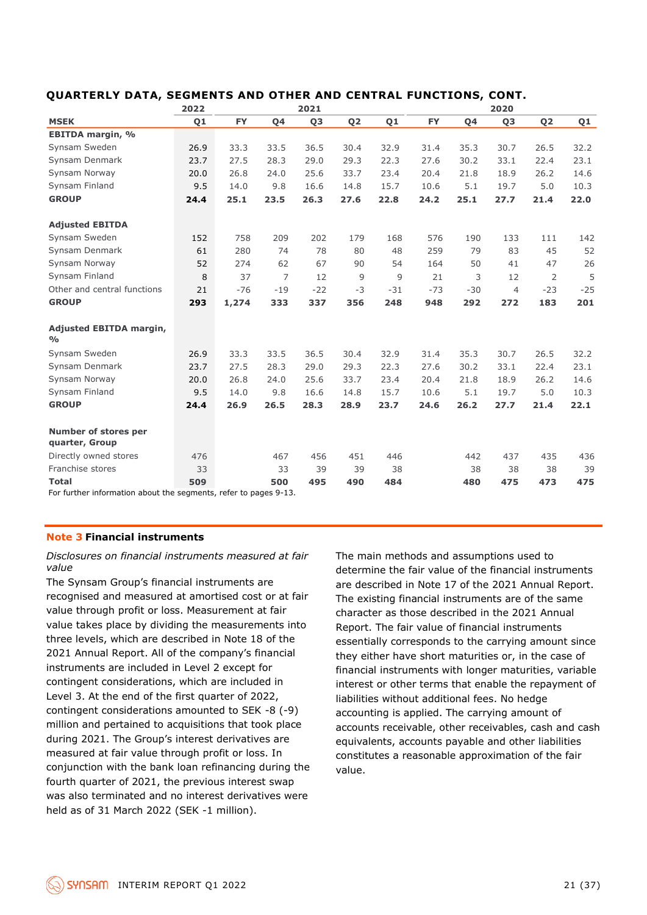|                                                                  | 2022           |           |       | 2021  |                |                |           |       | 2020           |                |       |
|------------------------------------------------------------------|----------------|-----------|-------|-------|----------------|----------------|-----------|-------|----------------|----------------|-------|
| <b>MSEK</b>                                                      | Q <sub>1</sub> | <b>FY</b> | Q4    | Q3    | Q <sub>2</sub> | Q <sub>1</sub> | <b>FY</b> | Q4    | Q <sub>3</sub> | Q <sub>2</sub> | Q1    |
| <b>EBITDA margin, %</b>                                          |                |           |       |       |                |                |           |       |                |                |       |
| Synsam Sweden                                                    | 26.9           | 33.3      | 33.5  | 36.5  | 30.4           | 32.9           | 31.4      | 35.3  | 30.7           | 26.5           | 32.2  |
| Synsam Denmark                                                   | 23.7           | 27.5      | 28.3  | 29.0  | 29.3           | 22.3           | 27.6      | 30.2  | 33.1           | 22.4           | 23.1  |
| Synsam Norway                                                    | 20.0           | 26.8      | 24.0  | 25.6  | 33.7           | 23.4           | 20.4      | 21.8  | 18.9           | 26.2           | 14.6  |
| Synsam Finland                                                   | 9.5            | 14.0      | 9.8   | 16.6  | 14.8           | 15.7           | 10.6      | 5.1   | 19.7           | 5.0            | 10.3  |
| <b>GROUP</b>                                                     | 24.4           | 25.1      | 23.5  | 26.3  | 27.6           | 22.8           | 24.2      | 25.1  | 27.7           | 21.4           | 22.0  |
| <b>Adjusted EBITDA</b>                                           |                |           |       |       |                |                |           |       |                |                |       |
| Synsam Sweden                                                    | 152            | 758       | 209   | 202   | 179            | 168            | 576       | 190   | 133            | 111            | 142   |
| Synsam Denmark                                                   | 61             | 280       | 74    | 78    | 80             | 48             | 259       | 79    | 83             | 45             | 52    |
| Synsam Norway                                                    | 52             | 274       | 62    | 67    | 90             | 54             | 164       | 50    | 41             | 47             | 26    |
| Synsam Finland                                                   | 8              | 37        | 7     | 12    | 9              | 9              | 21        | 3     | 12             | 2              | 5     |
| Other and central functions                                      | 21             | $-76$     | $-19$ | $-22$ | $-3$           | $-31$          | $-73$     | $-30$ | $\overline{4}$ | $-23$          | $-25$ |
| <b>GROUP</b>                                                     | 293            | 1,274     | 333   | 337   | 356            | 248            | 948       | 292   | 272            | 183            | 201   |
| <b>Adjusted EBITDA margin,</b><br>$\frac{0}{\alpha}$             |                |           |       |       |                |                |           |       |                |                |       |
| Synsam Sweden                                                    | 26.9           | 33.3      | 33.5  | 36.5  | 30.4           | 32.9           | 31.4      | 35.3  | 30.7           | 26.5           | 32.2  |
| Synsam Denmark                                                   | 23.7           | 27.5      | 28.3  | 29.0  | 29.3           | 22.3           | 27.6      | 30.2  | 33.1           | 22.4           | 23.1  |
| Synsam Norway                                                    | 20.0           | 26.8      | 24.0  | 25.6  | 33.7           | 23.4           | 20.4      | 21.8  | 18.9           | 26.2           | 14.6  |
| Synsam Finland                                                   | 9.5            | 14.0      | 9.8   | 16.6  | 14.8           | 15.7           | 10.6      | 5.1   | 19.7           | 5.0            | 10.3  |
| <b>GROUP</b>                                                     | 24.4           | 26.9      | 26.5  | 28.3  | 28.9           | 23.7           | 24.6      | 26.2  | 27.7           | 21.4           | 22.1  |
| Number of stores per<br>quarter, Group                           |                |           |       |       |                |                |           |       |                |                |       |
| Directly owned stores                                            | 476            |           | 467   | 456   | 451            | 446            |           | 442   | 437            | 435            | 436   |
| Franchise stores                                                 | 33             |           | 33    | 39    | 39             | 38             |           | 38    | 38             | 38             | 39    |
| <b>Total</b>                                                     | 509            |           | 500   | 495   | 490            | 484            |           | 480   | 475            | 473            | 475   |
| For further information about the segments, refer to pages 9-13. |                |           |       |       |                |                |           |       |                |                |       |

### **QUARTERLY DATA, SEGMENTS AND OTHER AND CENTRAL FUNCTIONS, CONT.**

For further information about the segments, refer to pages 9-13.

### **Note 3 Financial instruments**

*Disclosures on financial instruments measured at fair value*

The Synsam Group's financial instruments are recognised and measured at amortised cost or at fair value through profit or loss. Measurement at fair value takes place by dividing the measurements into three levels, which are described in Note 18 of the 2021 Annual Report. All of the company's financial instruments are included in Level 2 except for contingent considerations, which are included in Level 3. At the end of the first quarter of 2022, contingent considerations amounted to SEK -8 (-9) million and pertained to acquisitions that took place during 2021. The Group's interest derivatives are measured at fair value through profit or loss. In conjunction with the bank loan refinancing during the fourth quarter of 2021, the previous interest swap was also terminated and no interest derivatives were held as of 31 March 2022 (SEK -1 million).

The main methods and assumptions used to determine the fair value of the financial instruments are described in Note 17 of the 2021 Annual Report. The existing financial instruments are of the same character as those described in the 2021 Annual Report. The fair value of financial instruments essentially corresponds to the carrying amount since they either have short maturities or, in the case of financial instruments with longer maturities, variable interest or other terms that enable the repayment of liabilities without additional fees. No hedge accounting is applied. The carrying amount of accounts receivable, other receivables, cash and cash equivalents, accounts payable and other liabilities constitutes a reasonable approximation of the fair value.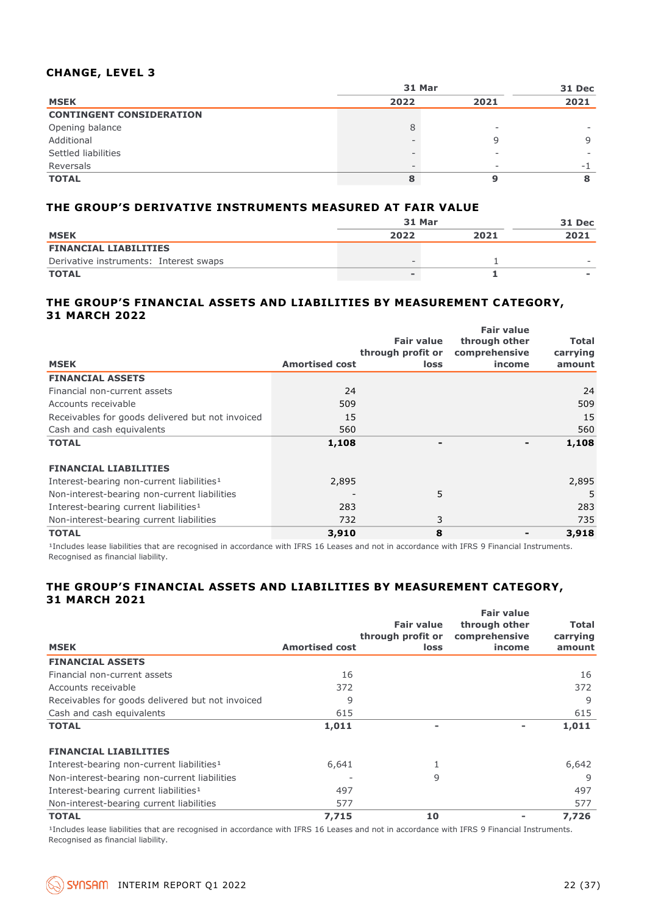### **CHANGE, LEVEL 3**

|                                 | 31 Mar |      |      |  |  |
|---------------------------------|--------|------|------|--|--|
| <b>MSEK</b>                     | 2022   | 2021 | 2021 |  |  |
| <b>CONTINGENT CONSIDERATION</b> |        |      |      |  |  |
| Opening balance                 | 8      | -    |      |  |  |
| Additional                      |        |      | 9    |  |  |
| Settled liabilities             |        | -    |      |  |  |
| Reversals                       |        | -    | -    |  |  |
| <b>TOTAL</b>                    |        |      |      |  |  |

### **THE GROUP'S DERIVATIVE INSTRUMENTS MEASURED AT FAIR VALUE**

|                                        | 31 Mar | <b>31 Dec</b> |                          |
|----------------------------------------|--------|---------------|--------------------------|
| <b>MSEK</b>                            | 2022   | 2021          | 2021                     |
| <b>FINANCIAL LIABILITIES</b>           |        |               |                          |
| Derivative instruments: Interest swaps |        |               | $\overline{\phantom{a}}$ |
| <b>TOTAL</b>                           |        |               | -                        |

#### **THE GROUP'S FINANCIAL ASSETS AND LIABILITIES BY MEASUREMENT CATEGORY, 31 MARCH 2022 Fair value**

|                                                       |                       |                                        | <b>Fair value</b>              |                          |
|-------------------------------------------------------|-----------------------|----------------------------------------|--------------------------------|--------------------------|
|                                                       |                       | <b>Fair value</b><br>through profit or | through other<br>comprehensive | <b>Total</b><br>carrying |
| <b>MSEK</b>                                           | <b>Amortised cost</b> | loss                                   | income                         | amount                   |
| <b>FINANCIAL ASSETS</b>                               |                       |                                        |                                |                          |
| Financial non-current assets                          | 24                    |                                        |                                | 24                       |
| Accounts receivable                                   | 509                   |                                        |                                | 509                      |
| Receivables for goods delivered but not invoiced      | 15                    |                                        |                                | 15                       |
| Cash and cash equivalents                             | 560                   |                                        |                                | 560                      |
| <b>TOTAL</b>                                          | 1,108                 |                                        |                                | 1,108                    |
| <b>FINANCIAL LIABILITIES</b>                          |                       |                                        |                                |                          |
| Interest-bearing non-current liabilities <sup>1</sup> | 2,895                 |                                        |                                | 2,895                    |
| Non-interest-bearing non-current liabilities          |                       | 5                                      |                                | 5                        |
| Interest-bearing current liabilities <sup>1</sup>     | 283                   |                                        |                                | 283                      |
| Non-interest-bearing current liabilities              | 732                   | 3                                      |                                | 735                      |
| <b>TOTAL</b>                                          | 3,910                 | 8                                      |                                | 3,918                    |

<sup>1</sup>Includes lease liabilities that are recognised in accordance with IFRS 16 Leases and not in accordance with IFRS 9 Financial Instruments. Recognised as financial liability.

### **THE GROUP'S FINANCIAL ASSETS AND LIABILITIES BY MEASUREMENT CATEGORY, 31 MARCH 2021**

| <b>MSEK</b>                                           | <b>Amortised cost</b> | <b>Fair value</b><br>through profit or<br>loss | <b>Fair value</b><br>through other<br>comprehensive<br>income | Total<br>carrying<br>amount |
|-------------------------------------------------------|-----------------------|------------------------------------------------|---------------------------------------------------------------|-----------------------------|
| <b>FINANCIAL ASSETS</b>                               |                       |                                                |                                                               |                             |
| Financial non-current assets                          | 16                    |                                                |                                                               | 16                          |
| Accounts receivable                                   | 372                   |                                                |                                                               | 372                         |
| Receivables for goods delivered but not invoiced      | 9                     |                                                |                                                               | 9                           |
| Cash and cash equivalents                             | 615                   |                                                |                                                               | 615                         |
| <b>TOTAL</b>                                          | 1,011                 |                                                |                                                               | 1,011                       |
| <b>FINANCIAL LIABILITIES</b>                          |                       |                                                |                                                               |                             |
| Interest-bearing non-current liabilities <sup>1</sup> | 6,641                 |                                                |                                                               | 6,642                       |
| Non-interest-bearing non-current liabilities          |                       | 9                                              |                                                               | 9                           |
| Interest-bearing current liabilities <sup>1</sup>     | 497                   |                                                |                                                               | 497                         |
| Non-interest-bearing current liabilities              | 577                   |                                                |                                                               | 577                         |
| <b>TOTAL</b>                                          | 7,715                 | 10                                             |                                                               | 7,726                       |

<sup>1</sup>Includes lease liabilities that are recognised in accordance with IFRS 16 Leases and not in accordance with IFRS 9 Financial Instruments. Recognised as financial liability.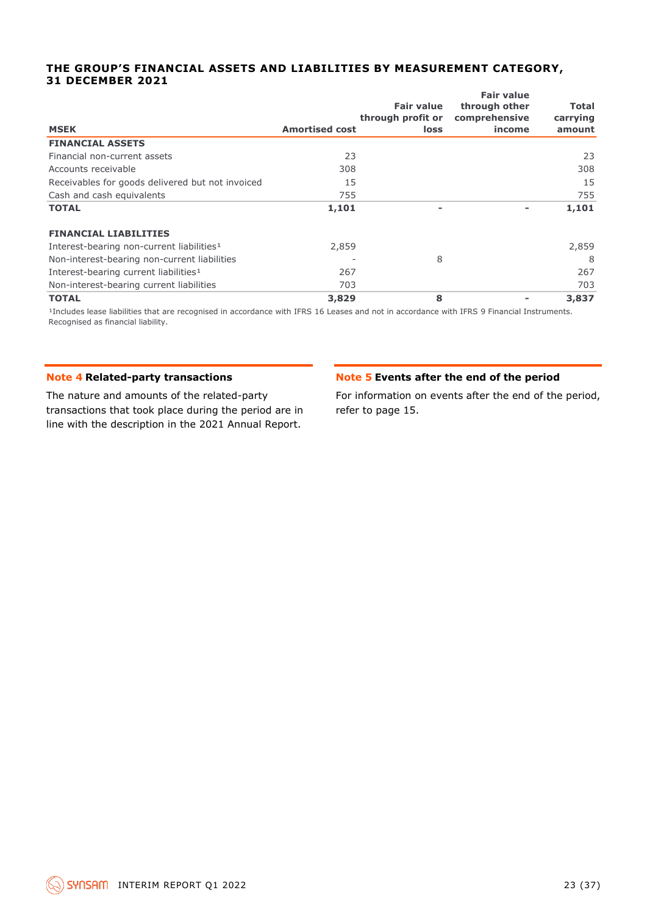#### **THE GROUP'S FINANCIAL ASSETS AND LIABILITIES BY MEASUREMENT CATEGORY, 31 DECEMBER 2021 Fair value**

| <b>MSEK</b>                                           | <b>Amortised cost</b> | <b>Fair value</b><br>through profit or<br>loss | <b>Fair value</b><br>through other<br>comprehensive<br>income | Total<br>carrying<br>amount |
|-------------------------------------------------------|-----------------------|------------------------------------------------|---------------------------------------------------------------|-----------------------------|
| <b>FINANCIAL ASSETS</b>                               |                       |                                                |                                                               |                             |
| Financial non-current assets                          | 23                    |                                                |                                                               | 23                          |
| Accounts receivable                                   | 308                   |                                                |                                                               | 308                         |
| Receivables for goods delivered but not invoiced      | 15                    |                                                |                                                               | 15                          |
| Cash and cash equivalents                             | 755                   |                                                |                                                               | 755                         |
| <b>TOTAL</b>                                          | 1,101                 | $\overline{\phantom{0}}$                       |                                                               | 1,101                       |
| <b>FINANCIAL LIABILITIES</b>                          |                       |                                                |                                                               |                             |
| Interest-bearing non-current liabilities <sup>1</sup> | 2,859                 |                                                |                                                               | 2,859                       |
| Non-interest-bearing non-current liabilities          |                       | 8                                              |                                                               | 8                           |
| Interest-bearing current liabilities <sup>1</sup>     | 267                   |                                                |                                                               | 267                         |
| Non-interest-bearing current liabilities              | 703                   |                                                |                                                               | 703                         |
| <b>TOTAL</b>                                          | 3,829                 | 8                                              |                                                               | 3,837                       |

<sup>1</sup>Includes lease liabilities that are recognised in accordance with IFRS 16 Leases and not in accordance with IFRS 9 Financial Instruments. Recognised as financial liability.

### **Note 4 Related-party transactions**

The nature and amounts of the related-party transactions that took place during the period are in line with the description in the 2021 Annual Report.

### **Note 5 Events after the end of the period**

For information on events after the end of the period, refer to page 15.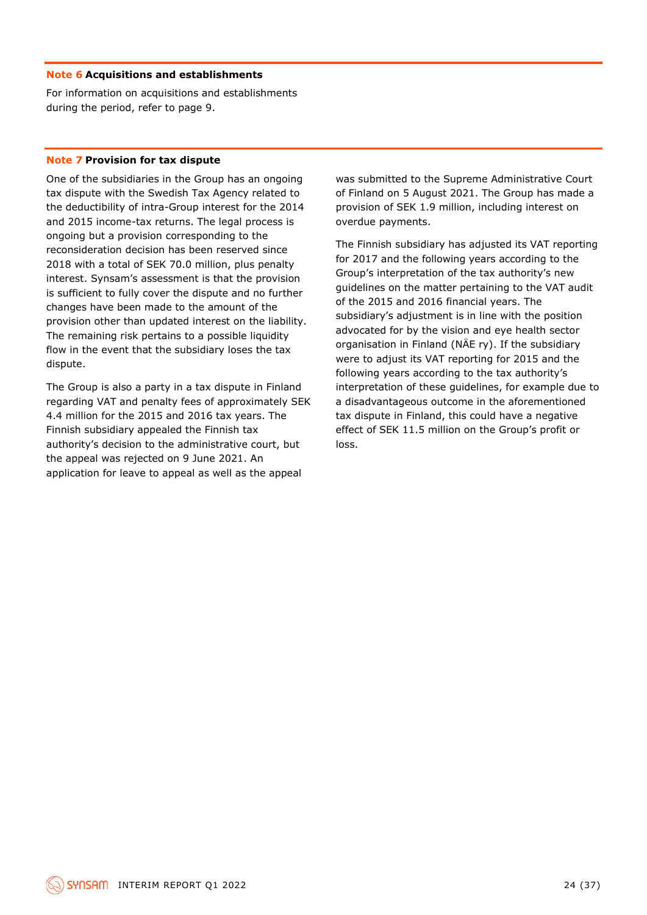#### **Note 6 Acquisitions and establishments**

For information on acquisitions and establishments during the period, refer to page 9.

#### **Note 7 Provision for tax dispute**

One of the subsidiaries in the Group has an ongoing tax dispute with the Swedish Tax Agency related to the deductibility of intra-Group interest for the 2014 and 2015 income-tax returns. The legal process is ongoing but a provision corresponding to the reconsideration decision has been reserved since 2018 with a total of SEK 70.0 million, plus penalty interest. Synsam's assessment is that the provision is sufficient to fully cover the dispute and no further changes have been made to the amount of the provision other than updated interest on the liability. The remaining risk pertains to a possible liquidity flow in the event that the subsidiary loses the tax dispute.

The Group is also a party in a tax dispute in Finland regarding VAT and penalty fees of approximately SEK 4.4 million for the 2015 and 2016 tax years. The Finnish subsidiary appealed the Finnish tax authority's decision to the administrative court, but the appeal was rejected on 9 June 2021. An application for leave to appeal as well as the appeal

was submitted to the Supreme Administrative Court of Finland on 5 August 2021. The Group has made a provision of SEK 1.9 million, including interest on overdue payments.

The Finnish subsidiary has adjusted its VAT reporting for 2017 and the following years according to the Group's interpretation of the tax authority's new guidelines on the matter pertaining to the VAT audit of the 2015 and 2016 financial years. The subsidiary's adjustment is in line with the position advocated for by the vision and eye health sector organisation in Finland (NÄE ry). If the subsidiary were to adjust its VAT reporting for 2015 and the following years according to the tax authority's interpretation of these guidelines, for example due to a disadvantageous outcome in the aforementioned tax dispute in Finland, this could have a negative effect of SEK 11.5 million on the Group's profit or loss.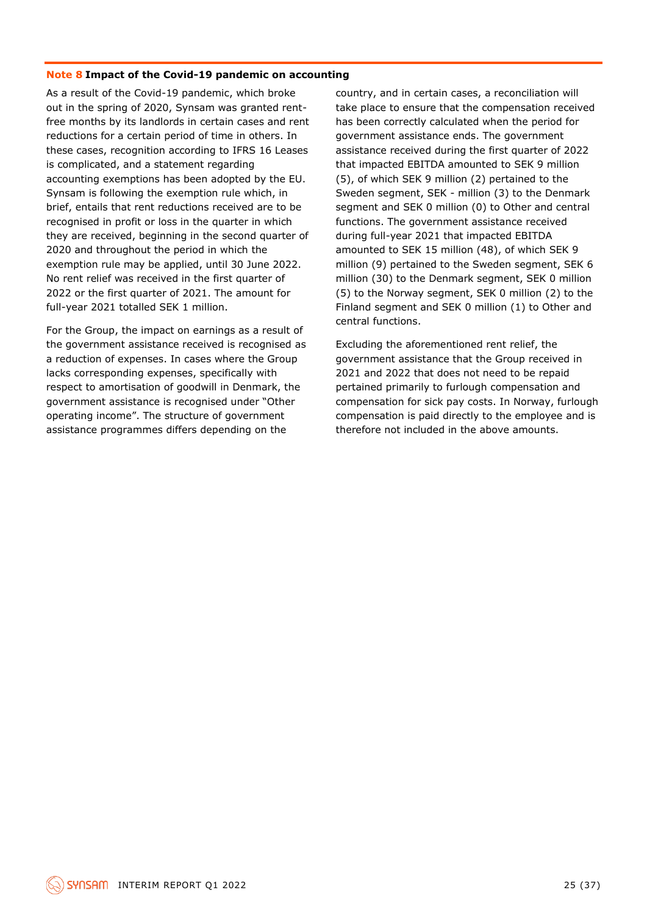#### **Note 8 Impact of the Covid-19 pandemic on accounting**

As a result of the Covid-19 pandemic, which broke out in the spring of 2020, Synsam was granted rentfree months by its landlords in certain cases and rent reductions for a certain period of time in others. In these cases, recognition according to IFRS 16 Leases is complicated, and a statement regarding accounting exemptions has been adopted by the EU. Synsam is following the exemption rule which, in brief, entails that rent reductions received are to be recognised in profit or loss in the quarter in which they are received, beginning in the second quarter of 2020 and throughout the period in which the exemption rule may be applied, until 30 June 2022. No rent relief was received in the first quarter of 2022 or the first quarter of 2021. The amount for full-year 2021 totalled SEK 1 million.

For the Group, the impact on earnings as a result of the government assistance received is recognised as a reduction of expenses. In cases where the Group lacks corresponding expenses, specifically with respect to amortisation of goodwill in Denmark, the government assistance is recognised under "Other operating income". The structure of government assistance programmes differs depending on the

country, and in certain cases, a reconciliation will take place to ensure that the compensation received has been correctly calculated when the period for government assistance ends. The government assistance received during the first quarter of 2022 that impacted EBITDA amounted to SEK 9 million (5), of which SEK 9 million (2) pertained to the Sweden segment, SEK - million (3) to the Denmark segment and SEK 0 million (0) to Other and central functions. The government assistance received during full-year 2021 that impacted EBITDA amounted to SEK 15 million (48), of which SEK 9 million (9) pertained to the Sweden segment, SEK 6 million (30) to the Denmark segment, SEK 0 million (5) to the Norway segment, SEK 0 million (2) to the Finland segment and SEK 0 million (1) to Other and central functions.

Excluding the aforementioned rent relief, the government assistance that the Group received in 2021 and 2022 that does not need to be repaid pertained primarily to furlough compensation and compensation for sick pay costs. In Norway, furlough compensation is paid directly to the employee and is therefore not included in the above amounts.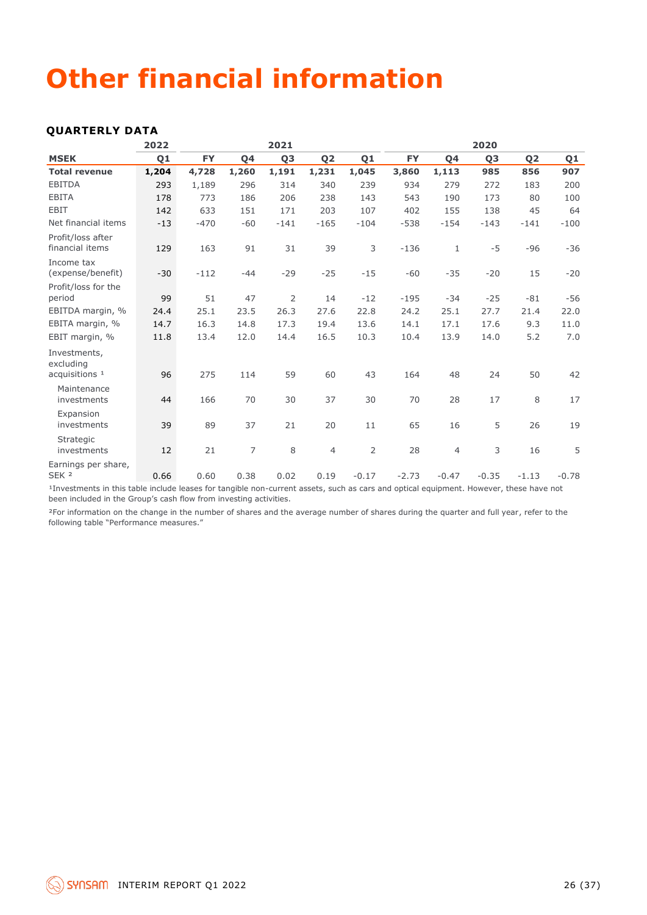## **Other financial information**

### **QUARTERLY DATA**

|                                              | 2022           |                              |                  | 2021           |                |                |           |                                                                                                                                                                                                                                           | 2020           |                |         |
|----------------------------------------------|----------------|------------------------------|------------------|----------------|----------------|----------------|-----------|-------------------------------------------------------------------------------------------------------------------------------------------------------------------------------------------------------------------------------------------|----------------|----------------|---------|
| <b>MSEK</b>                                  | Q <sub>1</sub> | <b>FY</b>                    | Q4               | Q <sub>3</sub> | Q <sub>2</sub> | Q <sub>1</sub> | <b>FY</b> | Q4                                                                                                                                                                                                                                        | Q <sub>3</sub> | Q <sub>2</sub> | Q1      |
| <b>Total revenue</b>                         | 1,204          | 4,728                        | 1,260            | 1,191          | 1,231          | 1,045          | 3,860     | 1,113                                                                                                                                                                                                                                     | 985            | 856            | 907     |
| <b>EBITDA</b>                                | 293            | 1,189                        | 296              | 314            | 340            | 239            | 934       | 279                                                                                                                                                                                                                                       | 272            | 183            | 200     |
| <b>EBITA</b>                                 | 178            | 773                          | 186              | 206            | 238            | 143            | 543       | 190                                                                                                                                                                                                                                       | 173            | 80             | 100     |
| <b>EBIT</b>                                  | 142            | 633                          | 151              | 171            | 203            | 107            | 402       | 155                                                                                                                                                                                                                                       | 138            | 45             | 64      |
| Net financial items                          | $-13$          | $-470$                       | $-60$            | $-141$         | $-165$         | $-104$         | $-538$    | $-154$                                                                                                                                                                                                                                    | $-143$         | $-141$         | $-100$  |
| Profit/loss after<br>financial items         | 129            | 163                          | 91               | 31             | 39             | 3              | $-136$    | $\mathbf{1}$                                                                                                                                                                                                                              | $-5$           | $-96$          | $-36$   |
| Income tax<br>(expense/benefit)              | $-30$          | $-112$                       | $-44$            | $-29$          | $-25$          | $-15$          | $-60$     | $-35$                                                                                                                                                                                                                                     | $-20$          | 15             | $-20$   |
| Profit/loss for the                          |                |                              |                  |                |                |                |           |                                                                                                                                                                                                                                           |                |                |         |
| period                                       | 99             | 51                           | 47               | 2              | 14             | $-12$          | $-195$    | $-34$                                                                                                                                                                                                                                     | $-25$          | $-81$          | -56     |
| EBITDA margin, %                             | 24.4           | 25.1                         | 23.5             | 26.3           | 27.6           | 22.8           | 24.2      | 25.1                                                                                                                                                                                                                                      | 27.7           | 21.4           | 22.0    |
| EBITA margin, %                              | 14.7           | 16.3                         | 14.8             | 17.3           | 19.4           | 13.6           | 14.1      | 17.1                                                                                                                                                                                                                                      | 17.6           | 9.3            | 11.0    |
| EBIT margin, %                               | 11.8           | 13.4                         | 12.0             | 14.4           | 16.5           | 10.3           | 10.4      | 13.9                                                                                                                                                                                                                                      | 14.0           | 5.2            | 7.0     |
| Investments,<br>excluding                    |                |                              |                  |                |                |                |           |                                                                                                                                                                                                                                           |                |                |         |
| acquisitions <sup>1</sup>                    | 96             | 275                          | 114              | 59             | 60             | 43             | 164       | 48                                                                                                                                                                                                                                        | 24             | 50             | 42      |
| Maintenance<br>investments                   | 44             | 166                          | 70               | 30             | 37             | 30             | 70        | 28                                                                                                                                                                                                                                        | 17             | 8              | 17      |
| Expansion<br>investments                     | 39             | 89                           | 37               | 21             | 20             | 11             | 65        | 16                                                                                                                                                                                                                                        | 5              | 26             | 19      |
| Strategic<br>investments                     | 12             | 21                           | 7                | 8              | $\overline{4}$ | $\overline{2}$ | 28        | $\overline{4}$                                                                                                                                                                                                                            | 3              | 16             | 5       |
| Earnings per share,<br>SEK <sub>2</sub><br>. | 0.66           | 0.60<br>$\sim$ $\sim$ $\sim$ | 0.38<br>$\cdots$ | 0.02           | 0.19           | $-0.17$        | $-2.73$   | $-0.47$<br>the second control of the second control of the second second control of the second second second second second second second second second second second second second second second second second second second second secon | $-0.35$        | $-1.13$        | $-0.78$ |

<sup>1</sup>Investments in this table include leases for tangible non-current assets, such as cars and optical equipment. However, these have not been included in the Group's cash flow from investing activities.

<sup>2</sup>For information on the change in the number of shares and the average number of shares during the quarter and full year, refer to the following table "Performance measures."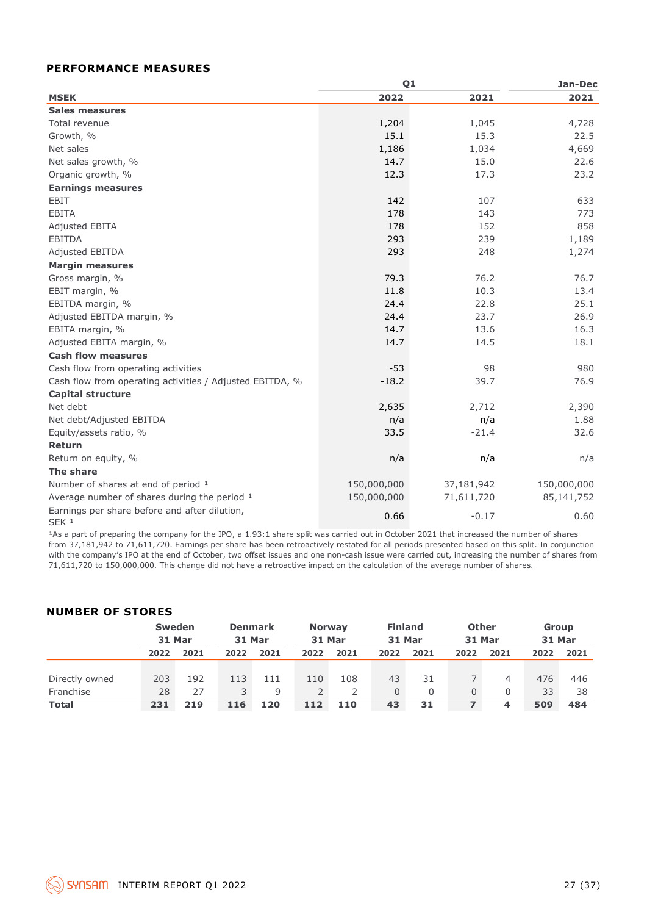### **PERFORMANCE MEASURES**

|                                                                   | Q <sub>1</sub> | Jan-Dec    |             |
|-------------------------------------------------------------------|----------------|------------|-------------|
| <b>MSEK</b>                                                       | 2022           | 2021       | 2021        |
| Sales measures                                                    |                |            |             |
| Total revenue                                                     | 1,204          | 1,045      | 4,728       |
| Growth, %                                                         | 15.1           | 15.3       | 22.5        |
| Net sales                                                         | 1,186          | 1,034      | 4,669       |
| Net sales growth, %                                               | 14.7           | 15.0       | 22.6        |
| Organic growth, %                                                 | 12.3           | 17.3       | 23.2        |
| <b>Earnings measures</b>                                          |                |            |             |
| <b>EBIT</b>                                                       | 142            | 107        | 633         |
| <b>EBITA</b>                                                      | 178            | 143        | 773         |
| Adjusted EBITA                                                    | 178            | 152        | 858         |
| <b>EBITDA</b>                                                     | 293            | 239        | 1,189       |
| Adjusted EBITDA                                                   | 293            | 248        | 1,274       |
| <b>Margin measures</b>                                            |                |            |             |
| Gross margin, %                                                   | 79.3           | 76.2       | 76.7        |
| EBIT margin, %                                                    | 11.8           | 10.3       | 13.4        |
| EBITDA margin, %                                                  | 24.4           | 22.8       | 25.1        |
| Adjusted EBITDA margin, %                                         | 24.4           | 23.7       | 26.9        |
| EBITA margin, %                                                   | 14.7           | 13.6       | 16.3        |
| Adjusted EBITA margin, %                                          | 14.7           | 14.5       | 18.1        |
| <b>Cash flow measures</b>                                         |                |            |             |
| Cash flow from operating activities                               | $-53$          | 98         | 980         |
| Cash flow from operating activities / Adjusted EBITDA, %          | $-18.2$        | 39.7       | 76.9        |
| <b>Capital structure</b>                                          |                |            |             |
| Net debt                                                          | 2,635          | 2,712      | 2,390       |
| Net debt/Adjusted EBITDA                                          | n/a            | n/a        | 1.88        |
| Equity/assets ratio, %                                            | 33.5           | $-21.4$    | 32.6        |
| Return                                                            |                |            |             |
| Return on equity, %                                               | n/a            | n/a        | n/a         |
| The share                                                         |                |            |             |
| Number of shares at end of period 1                               | 150,000,000    | 37,181,942 | 150,000,000 |
| Average number of shares during the period 1                      | 150,000,000    | 71,611,720 | 85,141,752  |
| Earnings per share before and after dilution,<br>SEK <sub>1</sub> | 0.66           | $-0.17$    | 0.60        |

<sup>1</sup>As a part of preparing the company for the IPO, a 1.93:1 share split was carried out in October 2021 that increased the number of shares from 37,181,942 to 71,611,720. Earnings per share has been retroactively restated for all periods presented based on this split. In conjunction with the company's IPO at the end of October, two offset issues and one non-cash issue were carried out, increasing the number of shares from 71,611,720 to 150,000,000. This change did not have a retroactive impact on the calculation of the average number of shares.

### **NUMBER OF STORES**

|                | <b>Sweden</b> |      | <b>Denmark</b> |      | <b>Norway</b> |      | <b>Finland</b> |      | <b>Other</b> |      | <b>Group</b> |      |
|----------------|---------------|------|----------------|------|---------------|------|----------------|------|--------------|------|--------------|------|
|                | 31 Mar        |      | 31 Mar         |      | 31 Mar        |      | 31 Mar         |      | 31 Mar       |      | 31 Mar       |      |
|                | 2022          | 2021 | 2022           | 2021 | 2022          | 2021 | 2022           | 2021 | 2022         | 2021 | 2022         | 2021 |
|                |               |      |                |      |               |      |                |      |              |      |              |      |
| Directly owned | 203           | 192  | 113            | 111  | 110           | 108  | 43             | 31   |              | 4    | 476          | 446  |
| Franchise      | 28            | 27   | 3              | 9    |               |      | $\Omega$       | 0    | 0            | 0    | 33           | 38   |
| <b>Total</b>   | 231           | 219  | 116            | 120  | 112           | 110  | 43             | 31   |              | 4    | 509          | 484  |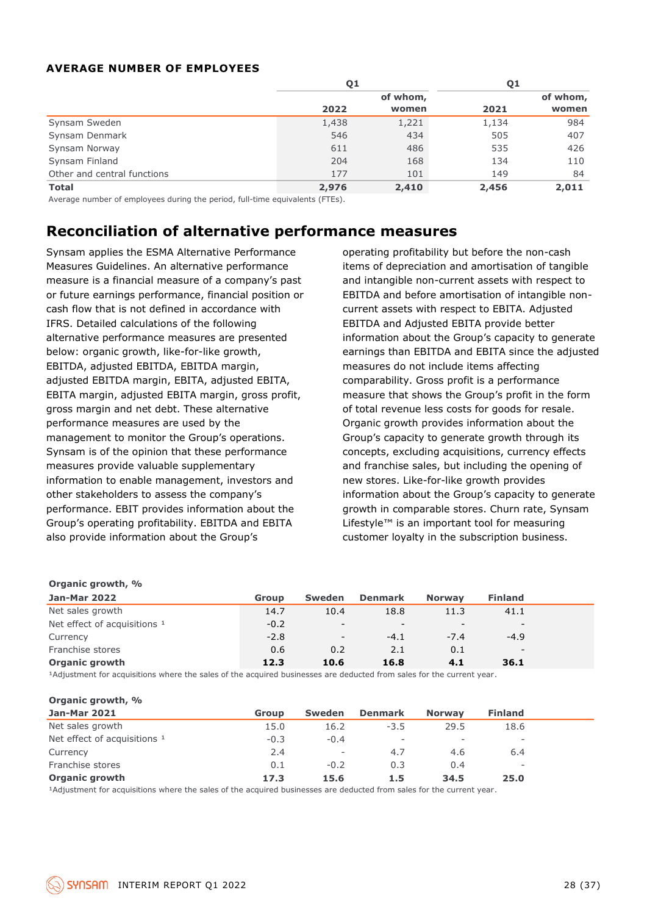### **AVERAGE NUMBER OF EMPLOYEES**

|                             | Q1    |          |       | Q1       |  |  |
|-----------------------------|-------|----------|-------|----------|--|--|
|                             |       | of whom, |       | of whom, |  |  |
|                             | 2022  | women    | 2021  | women    |  |  |
| Synsam Sweden               | 1,438 | 1,221    | 1,134 | 984      |  |  |
| Synsam Denmark              | 546   | 434      | 505   | 407      |  |  |
| Synsam Norway               | 611   | 486      | 535   | 426      |  |  |
| Synsam Finland              | 204   | 168      | 134   | 110      |  |  |
| Other and central functions | 177   | 101      | 149   | 84       |  |  |
| <b>Total</b>                | 2,976 | 2,410    | 2,456 | 2,011    |  |  |

Average number of employees during the period, full-time equivalents (FTEs).

### **Reconciliation of alternative performance measures**

Synsam applies the ESMA Alternative Performance Measures Guidelines. An alternative performance measure is a financial measure of a company's past or future earnings performance, financial position or cash flow that is not defined in accordance with IFRS. Detailed calculations of the following alternative performance measures are presented below: organic growth, like-for-like growth, EBITDA, adjusted EBITDA, EBITDA margin, adjusted EBITDA margin, EBITA, adjusted EBITA, EBITA margin, adjusted EBITA margin, gross profit, gross margin and net debt. These alternative performance measures are used by the management to monitor the Group's operations. Synsam is of the opinion that these performance measures provide valuable supplementary information to enable management, investors and other stakeholders to assess the company's performance. EBIT provides information about the Group's operating profitability. EBITDA and EBITA also provide information about the Group's **Example the matrix of the coupled and the state of the system in the control of the system in the system helmanistic system in the matter of the system fried to the system method of alternative performance the system and** 

operating profitability but before the non-cash items of depreciation and amortisation of tangible and intangible non-current assets with respect to EBITDA and before amortisation of intangible noncurrent assets with respect to EBITA. Adjusted EBITDA and Adjusted EBITA provide better information about the Group's capacity to generate earnings than EBITDA and EBITA since the adjusted measures do not include items affecting comparability. Gross profit is a performance measure that shows the Group's profit in the form of total revenue less costs for goods for resale. Organic growth provides information about the Group's capacity to generate growth through its concepts, excluding acquisitions, currency effects and franchise sales, but including the opening of new stores. Like-for-like growth provides information about the Group's capacity to generate growth in comparable stores. Churn rate, Synsam Lifestyle™ is an important tool for measuring customer loyalty in the subscription business.

| <b>Jan-Mar 2022</b>                     | Group  | Sweden                   | <b>Denmark</b> | <b>Norway</b>            | <b>Finland</b>           |  |
|-----------------------------------------|--------|--------------------------|----------------|--------------------------|--------------------------|--|
| Net sales growth                        | 14.7   | 10.4                     | 18.8           | 11.3                     | 41.1                     |  |
| Net effect of acquisitions <sup>1</sup> | $-0.2$ | $\overline{\phantom{a}}$ | $\sim$         | $\overline{\phantom{a}}$ | $\overline{\phantom{0}}$ |  |
| Currency                                | $-2.8$ | $\overline{\phantom{a}}$ | $-4.1$         | $-7.4$                   | $-4.9$                   |  |
| Franchise stores                        | 0.6    | 0.2                      | 2.1            | 0.1                      | $\overline{\phantom{0}}$ |  |
| <b>Organic growth</b>                   | 12.3   | 10.6                     | 16.8           | 4.1                      | 36.1                     |  |

<sup>1</sup>Adjustment for acquisitions where the sales of the acquired businesses are deducted from sales for the current year.

#### **Organic growth, %**

| <b>Jan-Mar 2021</b>          | <b>Group</b> | Sweden                   | <b>Denmark</b> | <b>Norway</b>            | <b>Finland</b>           |
|------------------------------|--------------|--------------------------|----------------|--------------------------|--------------------------|
| Net sales growth             | 15.0         | 16.2                     | $-3.5$         | 29.5                     | 18.6                     |
| Net effect of acquisitions 1 | $-0.3$       | $-0.4$                   | $\sim$         | $\overline{\phantom{a}}$ | $\overline{\phantom{a}}$ |
| Currency                     | 2.4          | $\overline{\phantom{a}}$ | 4.7            | 4.6                      | 6.4                      |
| Franchise stores             | 0.1          | $-0.2$                   | 0.3            | 0.4                      | $\overline{\phantom{a}}$ |
| <b>Organic growth</b>        | 17.3         | 15.6                     | 1.5            | 34.5                     | 25.0                     |

<sup>1</sup>Adjustment for acquisitions where the sales of the acquired businesses are deducted from sales for the current year.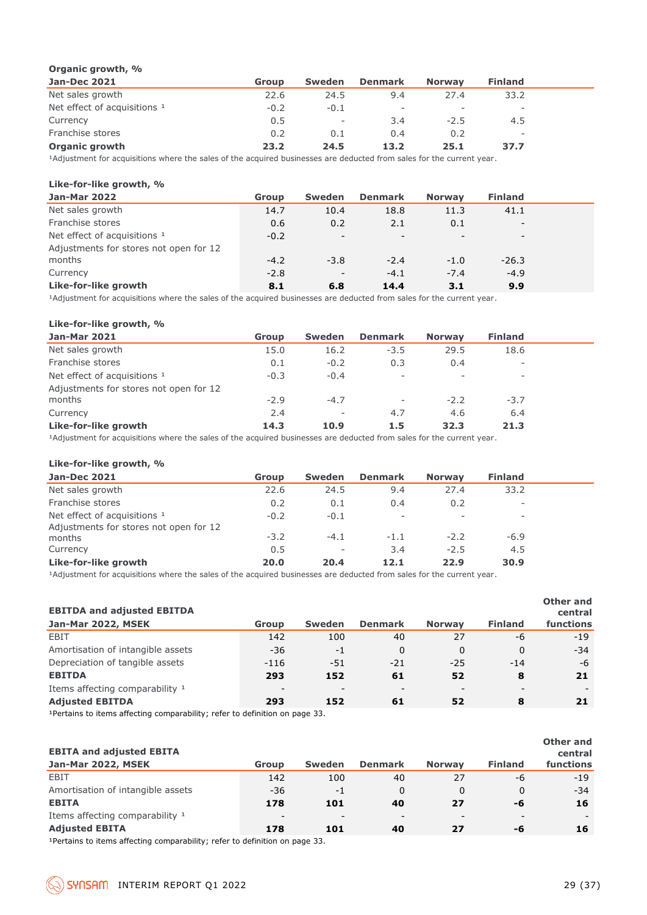### **Organic growth, %**

| <b>Jan-Dec 2021</b>          | <b>Group</b> | Sweden                   | <b>Denmark</b>           | <b>Norway</b>            | <b>Finland</b> |  |
|------------------------------|--------------|--------------------------|--------------------------|--------------------------|----------------|--|
| Net sales growth             | 22.6         | 24.5                     | 9.4                      | 27.4                     | 33.2           |  |
| Net effect of acquisitions 1 | $-0.2$       | $-0.1$                   | $\overline{\phantom{a}}$ | $\overline{\phantom{0}}$ | -              |  |
| Currency                     | 0.5          | $\overline{\phantom{a}}$ | 3.4                      | $-2.5$                   | 4.5            |  |
| Franchise stores             | 0.2          | 0.1                      | 0.4                      | 0.2                      | -              |  |
| <b>Organic growth</b>        | 23.2         | 24.5                     | 13.2                     | 25.1                     | 37.7           |  |

<sup>1</sup>Adjustment for acquisitions where the sales of the acquired businesses are deducted from sales for the current year.

### **Like-for-like growth, %**

| <b>Jan-Mar 2022</b>                    | Group  | Sweden                   | <b>Denmark</b>           | <b>Norway</b> | <b>Finland</b>           |  |
|----------------------------------------|--------|--------------------------|--------------------------|---------------|--------------------------|--|
| Net sales growth                       | 14.7   | 10.4                     | 18.8                     | 11.3          | 41.1                     |  |
| Franchise stores                       | 0.6    | 0.2                      | 2.1                      | 0.1           | $\overline{\phantom{a}}$ |  |
| Net effect of acquisitions 1           | $-0.2$ | $\overline{\phantom{a}}$ | $\overline{\phantom{a}}$ |               | -                        |  |
| Adjustments for stores not open for 12 |        |                          |                          |               |                          |  |
| months                                 | $-4.2$ | $-3.8$                   | $-2.4$                   | $-1.0$        | $-26.3$                  |  |
| Currency                               | $-2.8$ | $\overline{\phantom{a}}$ | $-4.1$                   | $-7.4$        | $-4.9$                   |  |
| Like-for-like growth                   | 8.1    | 6.8                      | 14.4                     | 3.1           | 9.9                      |  |

<sup>1</sup>Adjustment for acquisitions where the sales of the acquired businesses are deducted from sales for the current year.

#### **Like-for-like growth, %**

| <b>Jan-Mar 2021</b>                    | Group  | <b>Sweden</b>            | <b>Denmark</b> | <b>Norway</b>            | <b>Finland</b>           |  |
|----------------------------------------|--------|--------------------------|----------------|--------------------------|--------------------------|--|
| Net sales growth                       | 15.0   | 16.2                     | $-3.5$         | 29.5                     | 18.6                     |  |
| Franchise stores                       | 0.1    | $-0.2$                   | 0.3            | 0.4                      | $\overline{\phantom{a}}$ |  |
| Net effect of acquisitions 1           | $-0.3$ | $-0.4$                   | $\sim$         | $\overline{\phantom{a}}$ | $\overline{\phantom{a}}$ |  |
| Adjustments for stores not open for 12 |        |                          |                |                          |                          |  |
| months                                 | $-2.9$ | $-4.7$                   | $\sim$         | $-2.2$                   | $-3.7$                   |  |
| Currency                               | 2.4    | $\overline{\phantom{a}}$ | 4.7            | 4.6                      | 6.4                      |  |
| Like-for-like growth                   | 14.3   | 10.9                     | 1.5            | 32.3                     | 21.3                     |  |
|                                        |        |                          |                |                          |                          |  |

<sup>1</sup>Adjustment for acquisitions where the sales of the acquired businesses are deducted from sales for the current year.

#### **Like-for-like growth, %**

| <b>Jan-Dec 2021</b>                     | Group  | <b>Sweden</b>            | <b>Denmark</b>           | <b>Norway</b> | <b>Finland</b> |  |
|-----------------------------------------|--------|--------------------------|--------------------------|---------------|----------------|--|
| Net sales growth                        | 22.6   | 24.5                     | 9.4                      | 27.4          | 33.2           |  |
| Franchise stores                        | 0.2    | 0.1                      | 0.4                      | 0.2           |                |  |
| Net effect of acquisitions <sup>1</sup> | $-0.2$ | $-0.1$                   | $\overline{\phantom{a}}$ |               | ٠              |  |
| Adjustments for stores not open for 12  |        |                          |                          |               |                |  |
| months                                  | $-3.2$ | $-4.1$                   | $-1.1$                   | $-2.2$        | $-6.9$         |  |
| Currency                                | 0.5    | $\overline{\phantom{a}}$ | 3.4                      | $-2.5$        | 4.5            |  |
| Like-for-like growth                    | 20.0   | 20.4                     | 12.1                     | 22.9          | 30.9           |  |
|                                         |        |                          |                          |               |                |  |

<sup>1</sup>Adjustment for acquisitions where the sales of the acquired businesses are deducted from sales for the current year.

| <b>EBITDA and adjusted EBITDA</b><br>Jan-Mar 2022, MSEK | <b>Group</b> | <b>Sweden</b>            | <b>Denmark</b>           | <b>Norway</b> | <b>Finland</b> | Other and<br>central<br>functions |
|---------------------------------------------------------|--------------|--------------------------|--------------------------|---------------|----------------|-----------------------------------|
| EBIT                                                    | 142          | 100                      | 40                       | 27            | -6             | $-19$                             |
| Amortisation of intangible assets                       | $-36$        | $-1$                     | 0                        | 0             | $\Omega$       | $-34$                             |
| Depreciation of tangible assets                         | $-116$       | $-51$                    | $-21$                    | $-25$         | $-14$          | -6                                |
| <b>EBITDA</b>                                           | 293          | 152                      | 61                       | 52            | 8              | 21                                |
| Items affecting comparability 1                         |              | $\overline{\phantom{a}}$ | $\overline{\phantom{a}}$ |               |                |                                   |
| <b>Adjusted EBITDA</b>                                  | 293          | 152                      | 61                       | 52            | 8              | 21                                |

<sup>1</sup>Pertains to items affecting comparability; refer to definition on page 33.

| <b>EBITA and adjusted EBITA</b><br>Jan-Mar 2022, MSEK | <b>Group</b>             | <b>Sweden</b>            | <b>Denmark</b>           | <b>Norway</b>            | <b>Finland</b> | <b>Other and</b><br>central<br>functions |
|-------------------------------------------------------|--------------------------|--------------------------|--------------------------|--------------------------|----------------|------------------------------------------|
| EBIT                                                  | 142                      | 100                      | 40                       | 27                       | -6             | $-19$                                    |
| Amortisation of intangible assets                     | -36                      | -1                       | 0                        | 0                        | $\Omega$       | $-34$                                    |
| <b>EBITA</b>                                          | 178                      | 101                      | 40                       | 27                       | -6             | 16                                       |
| Items affecting comparability 1                       | $\overline{\phantom{0}}$ | $\overline{\phantom{a}}$ | $\overline{\phantom{a}}$ | $\overline{\phantom{0}}$ |                |                                          |
| <b>Adjusted EBITA</b>                                 | 178                      | 101                      | 40                       | 27                       | -6             | 16                                       |

1Pertains to items affecting comparability; refer to definition on page 33.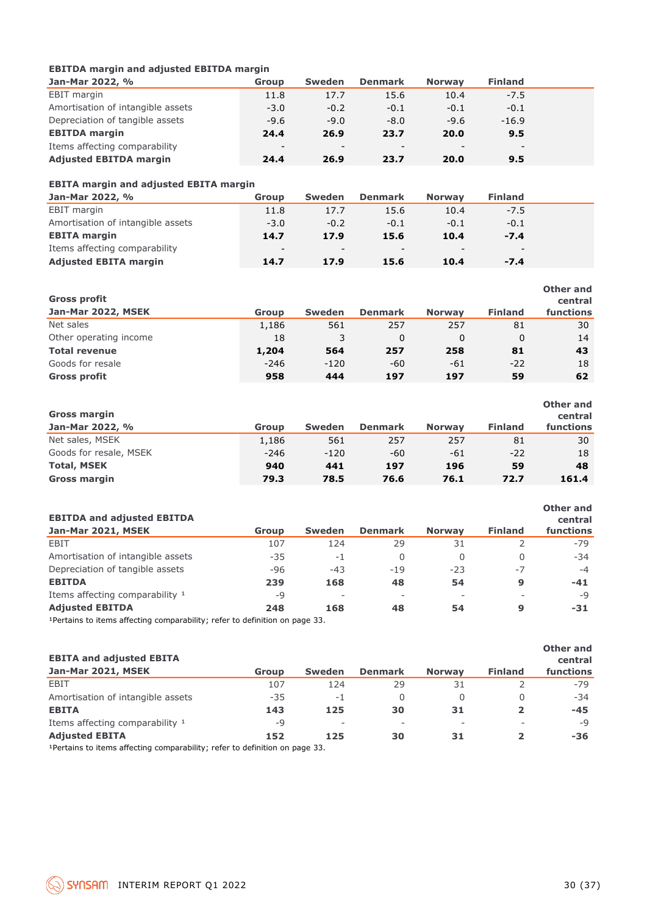### **EBITDA margin and adjusted EBITDA margin**

| Jan-Mar 2022, %                   | Group                    | <b>Sweden</b>            | <b>Denmark</b>           | <b>Norway</b>            | <b>Finland</b>           |  |
|-----------------------------------|--------------------------|--------------------------|--------------------------|--------------------------|--------------------------|--|
| EBIT margin                       | 11.8                     | 17.7                     | 15.6                     | 10.4                     | $-7.5$                   |  |
| Amortisation of intangible assets | $-3.0$                   | $-0.2$                   | $-0.1$                   | $-0.1$                   | $-0.1$                   |  |
| Depreciation of tangible assets   | $-9.6$                   | $-9.0$                   | $-8.0$                   | $-9.6$                   | $-16.9$                  |  |
| <b>EBITDA</b> margin              | 24.4                     | 26.9                     | 23.7                     | 20.0                     | 9.5                      |  |
| Items affecting comparability     | $\overline{\phantom{0}}$ | $\overline{\phantom{0}}$ | $\overline{\phantom{a}}$ | $\overline{\phantom{0}}$ | $\overline{\phantom{0}}$ |  |
| <b>Adjusted EBITDA margin</b>     | 24.4                     | 26.9                     | 23.7                     | 20.0                     | 9.5                      |  |

### **EBITA margin and adjusted EBITA margin**

| Jan-Mar 2022, %                   | Group                    | Sweden                   | <b>Denmark</b>           | <b>Norway</b>            | <b>Finland</b> |  |
|-----------------------------------|--------------------------|--------------------------|--------------------------|--------------------------|----------------|--|
| EBIT margin                       | 11.8                     | 17.7                     | 15.6                     | 10.4                     | $-7.5$         |  |
| Amortisation of intangible assets | $-3.0$                   | $-0.2$                   | $-0.1$                   | $-0.1$                   | $-0.1$         |  |
| <b>EBITA margin</b>               | 14.7                     | 17.9                     | 15.6                     | 10.4                     | $-7.4$         |  |
| Items affecting comparability     | $\overline{\phantom{a}}$ | $\overline{\phantom{a}}$ | $\overline{\phantom{a}}$ | $\overline{\phantom{0}}$ | -              |  |
| <b>Adjusted EBITA margin</b>      | 14.7                     | 17.9                     | 15.6                     | 10.4                     | $-7.4$         |  |

| <b>Gross profit</b>    |              |               |                |               |                | Other and<br>central |
|------------------------|--------------|---------------|----------------|---------------|----------------|----------------------|
| Jan-Mar 2022, MSEK     | <b>Group</b> | <b>Sweden</b> | <b>Denmark</b> | <b>Norway</b> | <b>Finland</b> | <b>functions</b>     |
| Net sales              | 1,186        | 561           | 257            | 257           | 81             | 30                   |
| Other operating income | 18           |               | 0              |               | 0              | 14                   |
| <b>Total revenue</b>   | 1,204        | 564           | 257            | 258           | 81             | 43                   |
| Goods for resale       | $-246$       | $-120$        | -60            | -61           | $-22$          | 18                   |
| <b>Gross profit</b>    | 958          | 444           | 197            | 197           | 59             | 62                   |

| <b>Gross margin</b><br>Jan-Mar 2022, % | Group  | <b>Sweden</b> | <b>Denmark</b> | <b>Norway</b> | <b>Finland</b> | Other and<br>central<br>functions |
|----------------------------------------|--------|---------------|----------------|---------------|----------------|-----------------------------------|
| Net sales, MSEK                        | 1,186  | 561           | 257            | 257           | 81             | 30                                |
| Goods for resale, MSEK                 | $-246$ | $-120$        | -60            | -61           | $-22$          | 18                                |
| <b>Total, MSEK</b>                     | 940    | 441           | 197            | 196           | 59             | 48                                |
| <b>Gross margin</b>                    | 79.3   | 78.5          | 76.6           | 76.1          | 72.7           | 161.4                             |

| <b>EBITDA and adjusted EBITDA</b>                                           |       |                          |                          |               |                | Other and<br>central |
|-----------------------------------------------------------------------------|-------|--------------------------|--------------------------|---------------|----------------|----------------------|
| Jan-Mar 2021, MSEK                                                          | Group | <b>Sweden</b>            | <b>Denmark</b>           | <b>Norway</b> | <b>Finland</b> | functions            |
| EBIT                                                                        | 107   | 124                      | 29                       | 31            |                | $-79$                |
| Amortisation of intangible assets                                           | $-35$ | -1                       | 0                        | 0             | 0              | $-34$                |
| Depreciation of tangible assets                                             | $-96$ | $-43$                    | $-19$                    | $-23$         | $-7$           | $-4$                 |
| <b>EBITDA</b>                                                               | 239   | 168                      | 48                       | 54            | 9              | $-41$                |
| Items affecting comparability 1                                             | -9    | $\overline{\phantom{a}}$ | $\overline{\phantom{a}}$ |               |                | $-Q$                 |
| <b>Adjusted EBITDA</b>                                                      | 248   | 168                      | 48                       | 54            | 9              | -31                  |
| 1 Dortains to items affecting comparability: refer to definition on page 33 |       |                          |                          |               |                |                      |

Pertains to items affecting comparability; refer to definition on page 33.

| <b>EBITA and adjusted EBITA</b><br>Jan-Mar 2021, MSEK | <b>Group</b> | <b>Sweden</b>            | <b>Denmark</b> | <b>Norway</b> | <b>Finland</b> | Other and<br>central<br>functions |
|-------------------------------------------------------|--------------|--------------------------|----------------|---------------|----------------|-----------------------------------|
| EBIT                                                  | 107          | 124                      | 29             | 31            |                | $-79$                             |
| Amortisation of intangible assets                     | $-35$        | $-1$                     | 0              |               | 0              | $-34$                             |
| <b>EBITA</b>                                          | 143          | 125                      | 30             | 31            | $\overline{2}$ | -45                               |
| Items affecting comparability 1                       | -9           | $\overline{\phantom{a}}$ | ۰              |               |                | $-9$                              |
| <b>Adjusted EBITA</b>                                 | 152          | 125                      | 30             | 31            |                | -36                               |

<sup>1</sup>Pertains to items affecting comparability; refer to definition on page 33.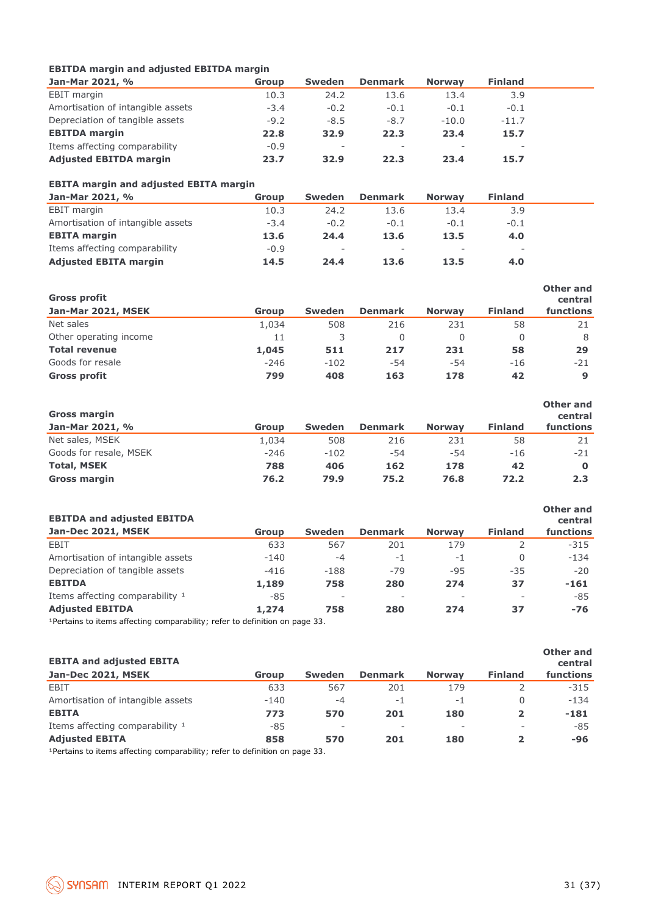### **EBITDA margin and adjusted EBITDA margin**

| Jan-Mar 2021, %                   | Group  | <b>Sweden</b>            | <b>Denmark</b>           | <b>Norway</b>            | <b>Finland</b> |  |
|-----------------------------------|--------|--------------------------|--------------------------|--------------------------|----------------|--|
| EBIT margin                       | 10.3   | 24.2                     | 13.6                     | 13.4                     | 3.9            |  |
| Amortisation of intangible assets | $-3.4$ | $-0.2$                   | $-0.1$                   | $-0.1$                   | $-0.1$         |  |
| Depreciation of tangible assets   | $-9.2$ | $-8.5$                   | $-8.7$                   | $-10.0$                  | $-11.7$        |  |
| <b>EBITDA</b> margin              | 22.8   | 32.9                     | 22.3                     | 23.4                     | 15.7           |  |
| Items affecting comparability     | $-0.9$ | $\overline{\phantom{a}}$ | $\overline{\phantom{a}}$ | $\overline{\phantom{a}}$ |                |  |
| <b>Adjusted EBITDA margin</b>     | 23.7   | 32.9                     | 22.3                     | 23.4                     | 15.7           |  |

### **EBITA margin and adjusted EBITA margin**

| Jan-Mar 2021, %                   | Group  | <b>Sweden</b> | <b>Denmark</b> | <b>Norway</b>            | <b>Finland</b>           |  |
|-----------------------------------|--------|---------------|----------------|--------------------------|--------------------------|--|
| <b>EBIT</b> margin                | 10.3   | 24.2          | 13.6           | 13.4                     | 3.9                      |  |
| Amortisation of intangible assets | $-3.4$ | $-0.2$        | $-0.1$         | $-0.1$                   | $-0.1$                   |  |
| <b>EBITA margin</b>               | 13.6   | 24.4          | 13.6           | 13.5                     | 4.0                      |  |
| Items affecting comparability     | $-0.9$ | $\sim$        | $\sim$         | $\overline{\phantom{a}}$ | $\overline{\phantom{a}}$ |  |
| <b>Adjusted EBITA margin</b>      | 14.5   | 24.4          | 13.6           | 13.5                     | 4.0                      |  |

| <b>Gross profit</b>    |        |               |                |               |                | Other and<br>central |
|------------------------|--------|---------------|----------------|---------------|----------------|----------------------|
| Jan-Mar 2021, MSEK     | Group  | <b>Sweden</b> | <b>Denmark</b> | <b>Norway</b> | <b>Finland</b> | functions            |
| Net sales              | 1,034  | 508           | 216            | 231           | 58             |                      |
| Other operating income | 11     |               |                | 0             |                | 8                    |
| <b>Total revenue</b>   | 1,045  | 511           | 217            | 231           | 58             | 29                   |
| Goods for resale       | $-246$ | $-102$        | -54            | -54           | $-16$          | $-21$                |
| <b>Gross profit</b>    | 799    | 408           | 163            | 178           | 42             | 9                    |

| <b>Gross margin</b><br>Jan-Mar 2021, % | Group  | <b>Sweden</b> | <b>Denmark</b> | <b>Norway</b> | <b>Finland</b> | Other and<br>central<br>functions |
|----------------------------------------|--------|---------------|----------------|---------------|----------------|-----------------------------------|
| Net sales, MSEK                        | 1.034  | 508           | 216            | 231           | 58             | 21                                |
| Goods for resale, MSEK                 | $-246$ | $-102$        | -54            | $-54$         | $-16$          | $-21$                             |
| <b>Total, MSEK</b>                     | 788    | 406           | 162            | 178           | 42             |                                   |
| <b>Gross margin</b>                    | 76.2   | 79.9          | 75.2           | 76.8          | 72.2           | 2.3                               |

| <b>EBITDA and adjusted EBITDA</b>                                                                                                                                                                                                   |        |                          |                          |               |                | Other and<br>central |
|-------------------------------------------------------------------------------------------------------------------------------------------------------------------------------------------------------------------------------------|--------|--------------------------|--------------------------|---------------|----------------|----------------------|
| Jan-Dec 2021, MSEK                                                                                                                                                                                                                  | Group  | <b>Sweden</b>            | <b>Denmark</b>           | <b>Norway</b> | <b>Finland</b> | functions            |
| EBIT                                                                                                                                                                                                                                | 633    | 567                      | 201                      | 179           |                | $-315$               |
| Amortisation of intangible assets                                                                                                                                                                                                   | $-140$ | $-4$                     | $-1$                     | -1            | 0              | $-134$               |
| Depreciation of tangible assets                                                                                                                                                                                                     | $-416$ | $-188$                   | $-79$                    | $-95$         | $-35$          | $-20$                |
| <b>EBITDA</b>                                                                                                                                                                                                                       | 1,189  | 758                      | 280                      | 274           | 37             | $-161$               |
| Items affecting comparability 1                                                                                                                                                                                                     | $-85$  | $\overline{\phantom{a}}$ | $\overline{\phantom{a}}$ |               |                | $-85$                |
| <b>Adjusted EBITDA</b>                                                                                                                                                                                                              | 1,274  | 758                      | 280                      | 274           | 37             | $-76$                |
| $\overline{AB}$ . And the set of the set of the set of the set of the set of the set of the set of the set of the set of the set of the set of the set of the set of the set of the set of the set of the set of the set of the set |        |                          |                          |               |                |                      |

<sup>1</sup>Pertains to items affecting comparability; refer to definition on page 33.

| <b>EBITA and adjusted EBITA</b><br>Jan-Dec 2021, MSEK                                                                                                                                                                               | Group  | <b>Sweden</b>            | <b>Denmark</b>           | <b>Norway</b>            | <b>Finland</b> | Other and<br>central<br>functions |
|-------------------------------------------------------------------------------------------------------------------------------------------------------------------------------------------------------------------------------------|--------|--------------------------|--------------------------|--------------------------|----------------|-----------------------------------|
| EBIT                                                                                                                                                                                                                                | 633    | 567                      | 201                      | 179                      |                | $-315$                            |
| Amortisation of intangible assets                                                                                                                                                                                                   | $-140$ | $-4$                     | $-1$                     | -1                       |                | $-134$                            |
| <b>EBITA</b>                                                                                                                                                                                                                        | 773    | 570                      | 201                      | 180                      |                | $-181$                            |
| Items affecting comparability 1                                                                                                                                                                                                     | $-85$  | $\overline{\phantom{a}}$ | $\overline{\phantom{m}}$ | $\overline{\phantom{a}}$ |                | $-85$                             |
| <b>Adjusted EBITA</b>                                                                                                                                                                                                               | 858    | 570                      | 201                      | 180                      |                | -96                               |
| $\overline{AB}$ . And the set of the set of the set of the set of the set of the set of the set of the set of the set of the set of the set of the set of the set of the set of the set of the set of the set of the set of the set |        |                          |                          |                          |                |                                   |

<sup>1</sup>Pertains to items affecting comparability; refer to definition on page 33.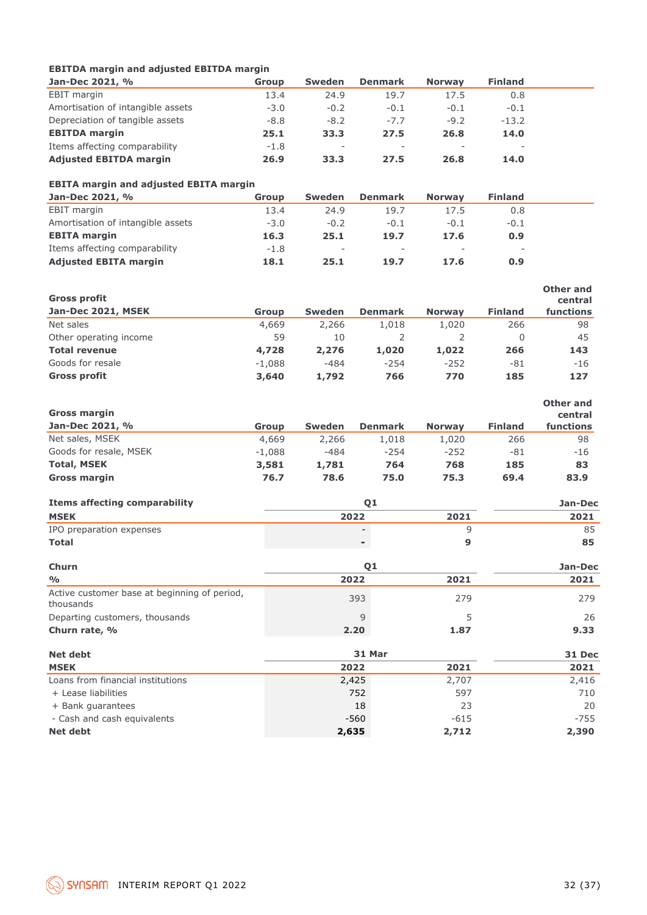### **EBITDA margin and adjusted EBITDA margin**

| Jan-Dec 2021, %                   | <b>Group</b> | <b>Sweden</b>            | <b>Denmark</b> | <b>Norway</b> | <b>Finland</b> |  |
|-----------------------------------|--------------|--------------------------|----------------|---------------|----------------|--|
| EBIT margin                       | 13.4         | 24.9                     | 19.7           | 17.5          | 0.8            |  |
| Amortisation of intangible assets | $-3.0$       | $-0.2$                   | $-0.1$         | $-0.1$        | $-0.1$         |  |
| Depreciation of tangible assets   | $-8.8$       | $-8.2$                   | $-7.7$         | $-9.2$        | $-13.2$        |  |
| <b>EBITDA</b> margin              | 25.1         | 33.3                     | 27.5           | 26.8          | 14.0           |  |
| Items affecting comparability     | $-1.8$       | $\overline{\phantom{a}}$ | $\sim$         | $\sim$        | $\sim$         |  |
| <b>Adjusted EBITDA margin</b>     | 26.9         | 33.3                     | 27.5           | 26.8          | 14.0           |  |

### **EBITA margin and adjusted EBITA margin**

| Jan-Dec 2021, %                   | Group  | <b>Sweden</b>            | <b>Denmark</b>           | <b>Norway</b>            | <b>Finland</b>           |  |
|-----------------------------------|--------|--------------------------|--------------------------|--------------------------|--------------------------|--|
| <b>EBIT</b> margin                | 13.4   | 24.9                     | 19.7                     | 17.5                     | 0.8                      |  |
| Amortisation of intangible assets | $-3.0$ | $-0.2$                   | $-0.1$                   | $-0.1$                   | $-0.1$                   |  |
| <b>EBITA margin</b>               | 16.3   | 25.1                     | 19.7                     | 17.6                     | 0.9                      |  |
| Items affecting comparability     | $-1.8$ | $\overline{\phantom{a}}$ | $\overline{\phantom{a}}$ | $\overline{\phantom{0}}$ | $\overline{\phantom{a}}$ |  |
| <b>Adjusted EBITA margin</b>      | 18.1   | 25.1                     | 19.7                     | 17.6                     | 0.9                      |  |

| <b>Gross profit</b>    |          |               |                |               |                | Other and<br>central |
|------------------------|----------|---------------|----------------|---------------|----------------|----------------------|
| Jan-Dec 2021, MSEK     | Group    | <b>Sweden</b> | <b>Denmark</b> | <b>Norway</b> | <b>Finland</b> | functions            |
| Net sales              | 4,669    | 2,266         | 1,018          | 1,020         | 266            | 98                   |
| Other operating income | 59       | 10            |                |               |                | 45                   |
| <b>Total revenue</b>   | 4,728    | 2,276         | 1,020          | 1,022         | 266            | 143                  |
| Goods for resale       | $-1.088$ | $-484$        | $-254$         | $-252$        | $-81$          | $-16$                |
| <b>Gross profit</b>    | 3,640    | 1,792         | 766            | 770           | 185            | 127                  |

| <b>Gross margin</b><br>Jan-Dec 2021, % | Group    | <b>Sweden</b> | <b>Denmark</b> | <b>Norway</b> | <b>Finland</b> | Other and<br>central<br>functions |
|----------------------------------------|----------|---------------|----------------|---------------|----------------|-----------------------------------|
| Net sales, MSEK                        | 4,669    | 2,266         | 1,018          | 1,020         | 266            | 98                                |
| Goods for resale, MSEK                 | $-1.088$ | $-484$        | $-254$         | $-252$        | -81            | $-16$                             |
| <b>Total, MSEK</b>                     | 3,581    | 1,781         | 764            | 768           | 185            | 83                                |
| <b>Gross margin</b>                    | 76.7     | 78.6          | 75.0           | 75.3          | 69.4           | 83.9                              |

| <b>Items affecting comparability</b> |                |      | Jan-Dec |  |
|--------------------------------------|----------------|------|---------|--|
| <b>MSEK</b>                          | 2022           | 2021 | 2021    |  |
| IPO preparation expenses             |                |      | 85      |  |
| <b>Total</b>                         | $\blacksquare$ |      | 85      |  |
| Churn                                |                |      | Jan-Dec |  |

| <b>Churn</b>                                              | 01     |      | Jan-Dec |
|-----------------------------------------------------------|--------|------|---------|
| $\frac{0}{0}$                                             | 2022   | 2021 | 2021    |
| Active customer base at beginning of period,<br>thousands | 393    | 279  | 279     |
| Departing customers, thousands                            | 9      |      | 26      |
| Churn rate, %                                             | 2.20   | 1.87 | 9.33    |
| <b>Net debt</b>                                           | 31 Mar |      | 31 Dec  |

| <b>Net debt</b>                   | 31 Mar |        | 31 Dec |
|-----------------------------------|--------|--------|--------|
| <b>MSEK</b>                       | 2022   | 2021   | 2021   |
| Loans from financial institutions | 2,425  | 2,707  | 2,416  |
| + Lease liabilities               | 752    | 597    | 710    |
| + Bank quarantees                 | 18     | 23     | 20     |
| - Cash and cash equivalents       | $-560$ | $-615$ | $-755$ |
| <b>Net debt</b>                   | 2,635  | 2,712  | 2,390  |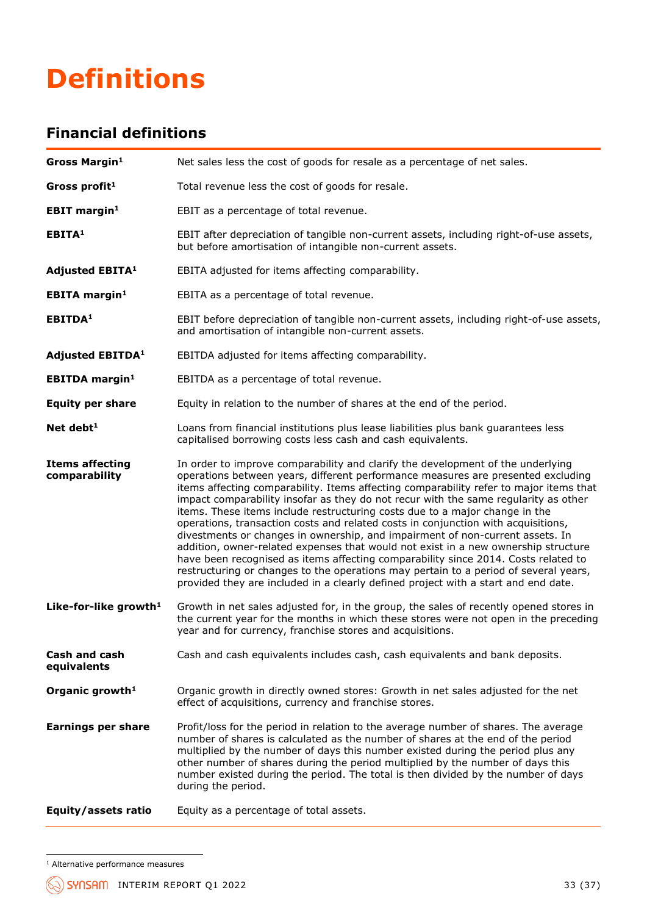## **Definitions**

### **Financial definitions**

| Gross Margin <sup>1</sup>               | Net sales less the cost of goods for resale as a percentage of net sales.                                                                                                                                                                                                                                                                                                                                                                                                                                                                                                                                                                                                                                                                                                                                                                                                                                                                                           |
|-----------------------------------------|---------------------------------------------------------------------------------------------------------------------------------------------------------------------------------------------------------------------------------------------------------------------------------------------------------------------------------------------------------------------------------------------------------------------------------------------------------------------------------------------------------------------------------------------------------------------------------------------------------------------------------------------------------------------------------------------------------------------------------------------------------------------------------------------------------------------------------------------------------------------------------------------------------------------------------------------------------------------|
| Gross profit <sup>1</sup>               | Total revenue less the cost of goods for resale.                                                                                                                                                                                                                                                                                                                                                                                                                                                                                                                                                                                                                                                                                                                                                                                                                                                                                                                    |
| <b>EBIT margin<sup>1</sup></b>          | EBIT as a percentage of total revenue.                                                                                                                                                                                                                                                                                                                                                                                                                                                                                                                                                                                                                                                                                                                                                                                                                                                                                                                              |
| EBITA <sup>1</sup>                      | EBIT after depreciation of tangible non-current assets, including right-of-use assets,<br>but before amortisation of intangible non-current assets.                                                                                                                                                                                                                                                                                                                                                                                                                                                                                                                                                                                                                                                                                                                                                                                                                 |
| <b>Adjusted EBITA1</b>                  | EBITA adjusted for items affecting comparability.                                                                                                                                                                                                                                                                                                                                                                                                                                                                                                                                                                                                                                                                                                                                                                                                                                                                                                                   |
| <b>EBITA</b> margin <sup>1</sup>        | EBITA as a percentage of total revenue.                                                                                                                                                                                                                                                                                                                                                                                                                                                                                                                                                                                                                                                                                                                                                                                                                                                                                                                             |
| EBITDA <sup>1</sup>                     | EBIT before depreciation of tangible non-current assets, including right-of-use assets,<br>and amortisation of intangible non-current assets.                                                                                                                                                                                                                                                                                                                                                                                                                                                                                                                                                                                                                                                                                                                                                                                                                       |
| <b>Adjusted EBITDA1</b>                 | EBITDA adjusted for items affecting comparability.                                                                                                                                                                                                                                                                                                                                                                                                                                                                                                                                                                                                                                                                                                                                                                                                                                                                                                                  |
| <b>EBITDA</b> margin <sup>1</sup>       | EBITDA as a percentage of total revenue.                                                                                                                                                                                                                                                                                                                                                                                                                                                                                                                                                                                                                                                                                                                                                                                                                                                                                                                            |
| <b>Equity per share</b>                 | Equity in relation to the number of shares at the end of the period.                                                                                                                                                                                                                                                                                                                                                                                                                                                                                                                                                                                                                                                                                                                                                                                                                                                                                                |
| Net debt <sup>1</sup>                   | Loans from financial institutions plus lease liabilities plus bank guarantees less<br>capitalised borrowing costs less cash and cash equivalents.                                                                                                                                                                                                                                                                                                                                                                                                                                                                                                                                                                                                                                                                                                                                                                                                                   |
| <b>Items affecting</b><br>comparability | In order to improve comparability and clarify the development of the underlying<br>operations between years, different performance measures are presented excluding<br>items affecting comparability. Items affecting comparability refer to major items that<br>impact comparability insofar as they do not recur with the same regularity as other<br>items. These items include restructuring costs due to a major change in the<br>operations, transaction costs and related costs in conjunction with acquisitions,<br>divestments or changes in ownership, and impairment of non-current assets. In<br>addition, owner-related expenses that would not exist in a new ownership structure<br>have been recognised as items affecting comparability since 2014. Costs related to<br>restructuring or changes to the operations may pertain to a period of several years,<br>provided they are included in a clearly defined project with a start and end date. |
| Like-for-like growth <sup>1</sup>       | Growth in net sales adjusted for, in the group, the sales of recently opened stores in<br>the current year for the months in which these stores were not open in the preceding<br>year and for currency, franchise stores and acquisitions.                                                                                                                                                                                                                                                                                                                                                                                                                                                                                                                                                                                                                                                                                                                         |
| Cash and cash<br>equivalents            | Cash and cash equivalents includes cash, cash equivalents and bank deposits.                                                                                                                                                                                                                                                                                                                                                                                                                                                                                                                                                                                                                                                                                                                                                                                                                                                                                        |
| Organic growth <sup>1</sup>             | Organic growth in directly owned stores: Growth in net sales adjusted for the net<br>effect of acquisitions, currency and franchise stores.                                                                                                                                                                                                                                                                                                                                                                                                                                                                                                                                                                                                                                                                                                                                                                                                                         |
| <b>Earnings per share</b>               | Profit/loss for the period in relation to the average number of shares. The average<br>number of shares is calculated as the number of shares at the end of the period<br>multiplied by the number of days this number existed during the period plus any<br>other number of shares during the period multiplied by the number of days this<br>number existed during the period. The total is then divided by the number of days<br>during the period.                                                                                                                                                                                                                                                                                                                                                                                                                                                                                                              |
| Equity/assets ratio                     | Equity as a percentage of total assets.                                                                                                                                                                                                                                                                                                                                                                                                                                                                                                                                                                                                                                                                                                                                                                                                                                                                                                                             |

<sup>&</sup>lt;sup>1</sup> Alternative performance measures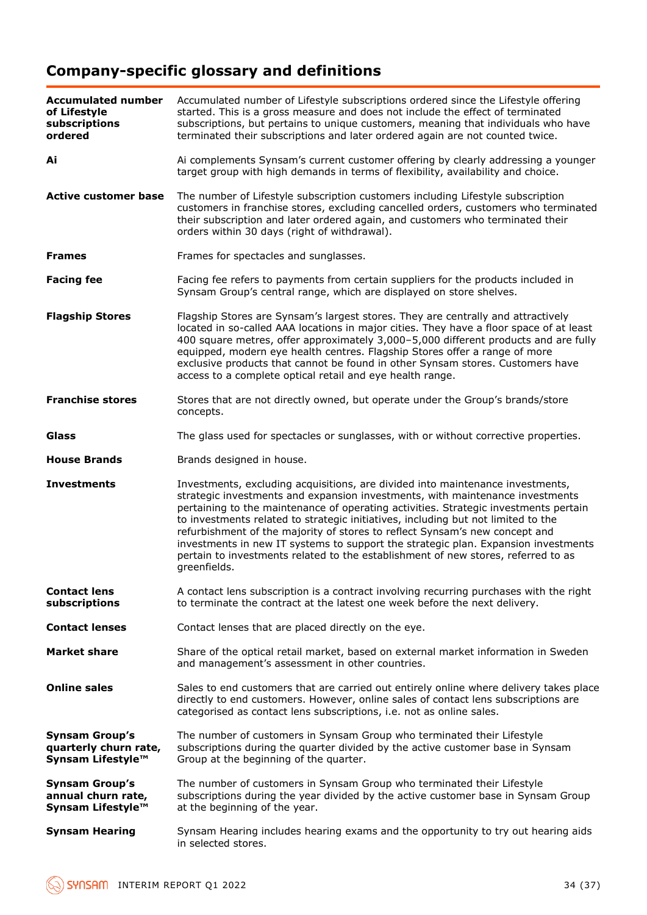## **Company-specific glossary and definitions**

| <b>Accumulated number</b><br>of Lifestyle<br>subscriptions<br>ordered | Accumulated number of Lifestyle subscriptions ordered since the Lifestyle offering<br>started. This is a gross measure and does not include the effect of terminated<br>subscriptions, but pertains to unique customers, meaning that individuals who have<br>terminated their subscriptions and later ordered again are not counted twice.                                                                                                                                                                                                                                                                            |  |
|-----------------------------------------------------------------------|------------------------------------------------------------------------------------------------------------------------------------------------------------------------------------------------------------------------------------------------------------------------------------------------------------------------------------------------------------------------------------------------------------------------------------------------------------------------------------------------------------------------------------------------------------------------------------------------------------------------|--|
| Ai                                                                    | Ai complements Synsam's current customer offering by clearly addressing a younger<br>target group with high demands in terms of flexibility, availability and choice.                                                                                                                                                                                                                                                                                                                                                                                                                                                  |  |
| <b>Active customer base</b>                                           | The number of Lifestyle subscription customers including Lifestyle subscription<br>customers in franchise stores, excluding cancelled orders, customers who terminated<br>their subscription and later ordered again, and customers who terminated their<br>orders within 30 days (right of withdrawal).                                                                                                                                                                                                                                                                                                               |  |
| <b>Frames</b>                                                         | Frames for spectacles and sunglasses.                                                                                                                                                                                                                                                                                                                                                                                                                                                                                                                                                                                  |  |
| <b>Facing fee</b>                                                     | Facing fee refers to payments from certain suppliers for the products included in<br>Synsam Group's central range, which are displayed on store shelves.                                                                                                                                                                                                                                                                                                                                                                                                                                                               |  |
| <b>Flagship Stores</b>                                                | Flagship Stores are Synsam's largest stores. They are centrally and attractively<br>located in so-called AAA locations in major cities. They have a floor space of at least<br>400 square metres, offer approximately 3,000-5,000 different products and are fully<br>equipped, modern eye health centres. Flagship Stores offer a range of more<br>exclusive products that cannot be found in other Synsam stores. Customers have<br>access to a complete optical retail and eye health range.                                                                                                                        |  |
| <b>Franchise stores</b>                                               | Stores that are not directly owned, but operate under the Group's brands/store<br>concepts.                                                                                                                                                                                                                                                                                                                                                                                                                                                                                                                            |  |
| <b>Glass</b>                                                          | The glass used for spectacles or sunglasses, with or without corrective properties.                                                                                                                                                                                                                                                                                                                                                                                                                                                                                                                                    |  |
| <b>House Brands</b>                                                   | Brands designed in house.                                                                                                                                                                                                                                                                                                                                                                                                                                                                                                                                                                                              |  |
| <b>Investments</b>                                                    | Investments, excluding acquisitions, are divided into maintenance investments,<br>strategic investments and expansion investments, with maintenance investments<br>pertaining to the maintenance of operating activities. Strategic investments pertain<br>to investments related to strategic initiatives, including but not limited to the<br>refurbishment of the majority of stores to reflect Synsam's new concept and<br>investments in new IT systems to support the strategic plan. Expansion investments<br>pertain to investments related to the establishment of new stores, referred to as<br>greenfields. |  |
| <b>Contact lens</b><br>subscriptions                                  | A contact lens subscription is a contract involving recurring purchases with the right<br>to terminate the contract at the latest one week before the next delivery.                                                                                                                                                                                                                                                                                                                                                                                                                                                   |  |
| <b>Contact lenses</b>                                                 | Contact lenses that are placed directly on the eye.                                                                                                                                                                                                                                                                                                                                                                                                                                                                                                                                                                    |  |
| <b>Market share</b>                                                   | Share of the optical retail market, based on external market information in Sweden<br>and management's assessment in other countries.                                                                                                                                                                                                                                                                                                                                                                                                                                                                                  |  |
| <b>Online sales</b>                                                   | Sales to end customers that are carried out entirely online where delivery takes place<br>directly to end customers. However, online sales of contact lens subscriptions are<br>categorised as contact lens subscriptions, i.e. not as online sales.                                                                                                                                                                                                                                                                                                                                                                   |  |
| <b>Synsam Group's</b><br>quarterly churn rate,<br>Synsam Lifestyle™   | The number of customers in Synsam Group who terminated their Lifestyle<br>subscriptions during the quarter divided by the active customer base in Synsam<br>Group at the beginning of the quarter.                                                                                                                                                                                                                                                                                                                                                                                                                     |  |
| <b>Synsam Group's</b><br>annual churn rate,<br>Synsam Lifestyle™      | The number of customers in Synsam Group who terminated their Lifestyle<br>subscriptions during the year divided by the active customer base in Synsam Group<br>at the beginning of the year.                                                                                                                                                                                                                                                                                                                                                                                                                           |  |
| <b>Synsam Hearing</b>                                                 | Synsam Hearing includes hearing exams and the opportunity to try out hearing aids<br>in selected stores.                                                                                                                                                                                                                                                                                                                                                                                                                                                                                                               |  |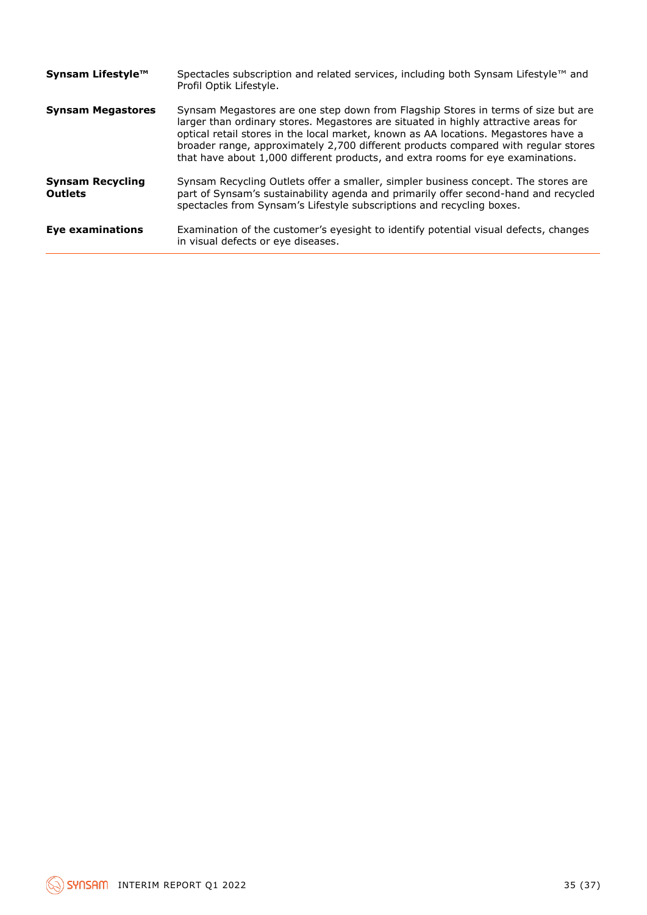| Synsam Lifestyle™                         | Spectacles subscription and related services, including both Synsam Lifestyle™ and<br>Profil Optik Lifestyle.                                                                                                                                                                                                                                                                                                                            |
|-------------------------------------------|------------------------------------------------------------------------------------------------------------------------------------------------------------------------------------------------------------------------------------------------------------------------------------------------------------------------------------------------------------------------------------------------------------------------------------------|
| <b>Synsam Megastores</b>                  | Synsam Megastores are one step down from Flagship Stores in terms of size but are<br>larger than ordinary stores. Megastores are situated in highly attractive areas for<br>optical retail stores in the local market, known as AA locations. Megastores have a<br>broader range, approximately 2,700 different products compared with regular stores<br>that have about 1,000 different products, and extra rooms for eye examinations. |
| <b>Synsam Recycling</b><br><b>Outlets</b> | Synsam Recycling Outlets offer a smaller, simpler business concept. The stores are<br>part of Synsam's sustainability agenda and primarily offer second-hand and recycled<br>spectacles from Synsam's Lifestyle subscriptions and recycling boxes.                                                                                                                                                                                       |
| <b>Eye examinations</b>                   | Examination of the customer's eyesight to identify potential visual defects, changes<br>in visual defects or eye diseases.                                                                                                                                                                                                                                                                                                               |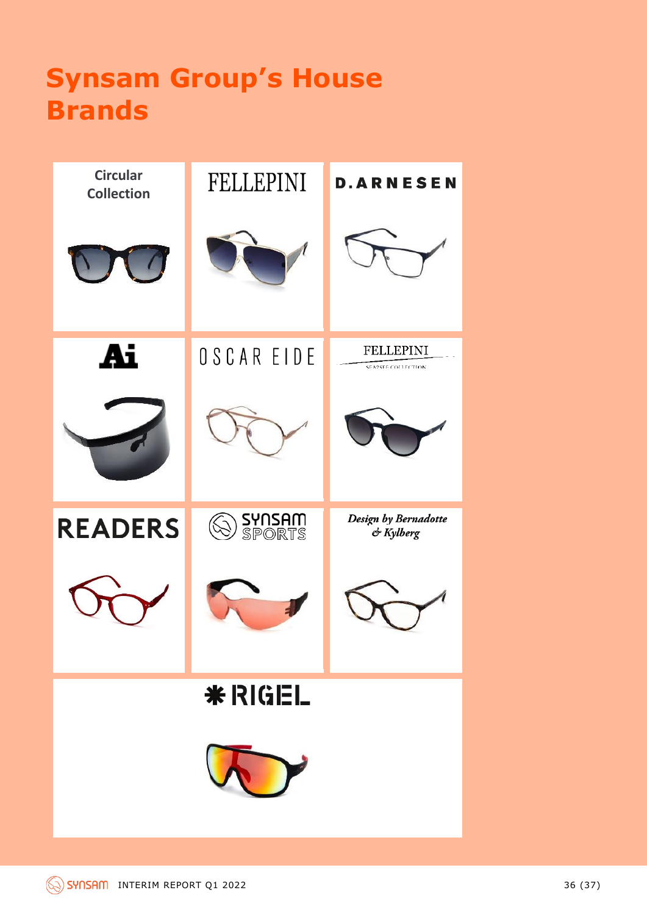## **Synsam Group's House Brands**